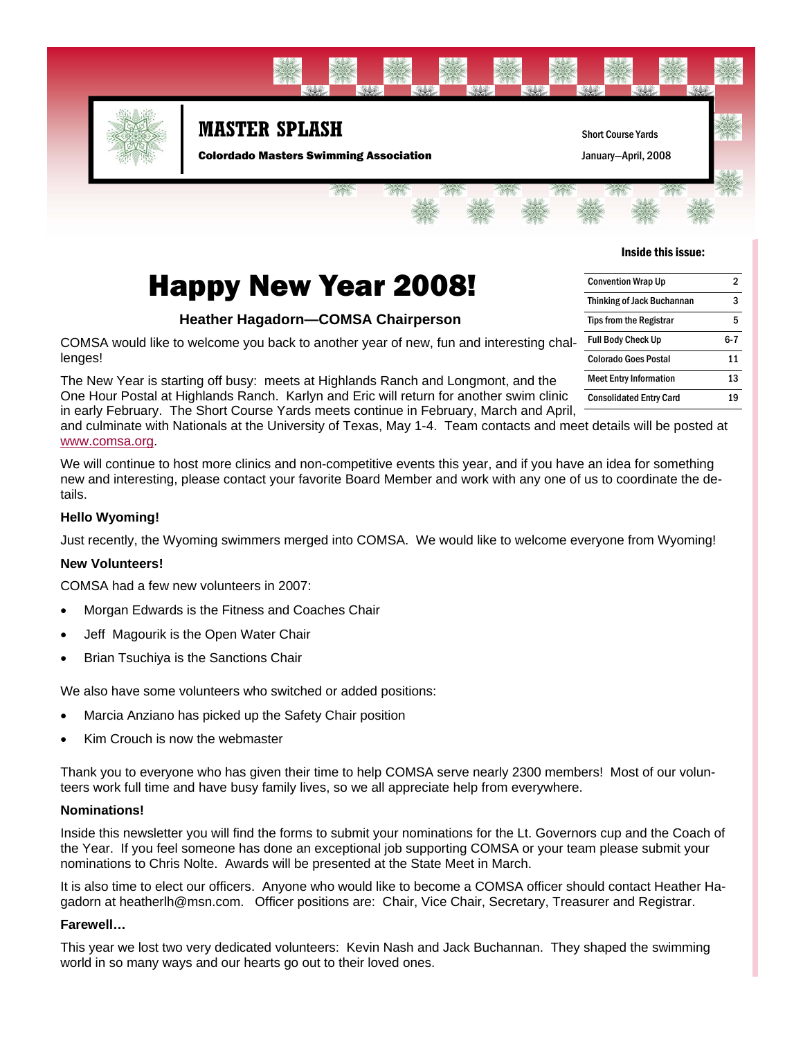

# Happy New Year 2008!

#### **Heather Hagadorn—COMSA Chairperson**

COMSA would like to welcome you back to another year of new, fun and interesting challenges!

The New Year is starting off busy: meets at Highlands Ranch and Longmont, and the One Hour Postal at Highlands Ranch. Karlyn and Eric will return for another swim clinic in early February. The Short Course Yards meets continue in February, March and April,

and culminate with Nationals at the University of Texas, May 1-4. Team contacts and meet details will be posted at www.comsa.org.

We will continue to host more clinics and non-competitive events this year, and if you have an idea for something new and interesting, please contact your favorite Board Member and work with any one of us to coordinate the details.

#### **Hello Wyoming!**

Just recently, the Wyoming swimmers merged into COMSA. We would like to welcome everyone from Wyoming!

#### **New Volunteers!**

COMSA had a few new volunteers in 2007:

- Morgan Edwards is the Fitness and Coaches Chair
- Jeff Magourik is the Open Water Chair
- Brian Tsuchiya is the Sanctions Chair

We also have some volunteers who switched or added positions:

- Marcia Anziano has picked up the Safety Chair position
- Kim Crouch is now the webmaster

Thank you to everyone who has given their time to help COMSA serve nearly 2300 members! Most of our volunteers work full time and have busy family lives, so we all appreciate help from everywhere.

#### **Nominations!**

Inside this newsletter you will find the forms to submit your nominations for the Lt. Governors cup and the Coach of the Year. If you feel someone has done an exceptional job supporting COMSA or your team please submit your nominations to Chris Nolte. Awards will be presented at the State Meet in March.

It is also time to elect our officers. Anyone who would like to become a COMSA officer should contact Heather Hagadorn at heatherlh@msn.com. Officer positions are: Chair, Vice Chair, Secretary, Treasurer and Registrar.

#### **Farewell…**

This year we lost two very dedicated volunteers: Kevin Nash and Jack Buchannan. They shaped the swimming world in so many ways and our hearts go out to their loved ones.

| <b>Convention Wrap Up</b>         | 2   |
|-----------------------------------|-----|
| <b>Thinking of Jack Buchannan</b> | 3   |
| <b>Tips from the Registrar</b>    | 5   |
| <b>Full Body Check Up</b>         | հ-7 |
| <b>Colorado Goes Postal</b>       | 11  |
| <b>Meet Entry Information</b>     | 13  |
| <b>Consolidated Entry Card</b>    | 19  |

Inside this issue: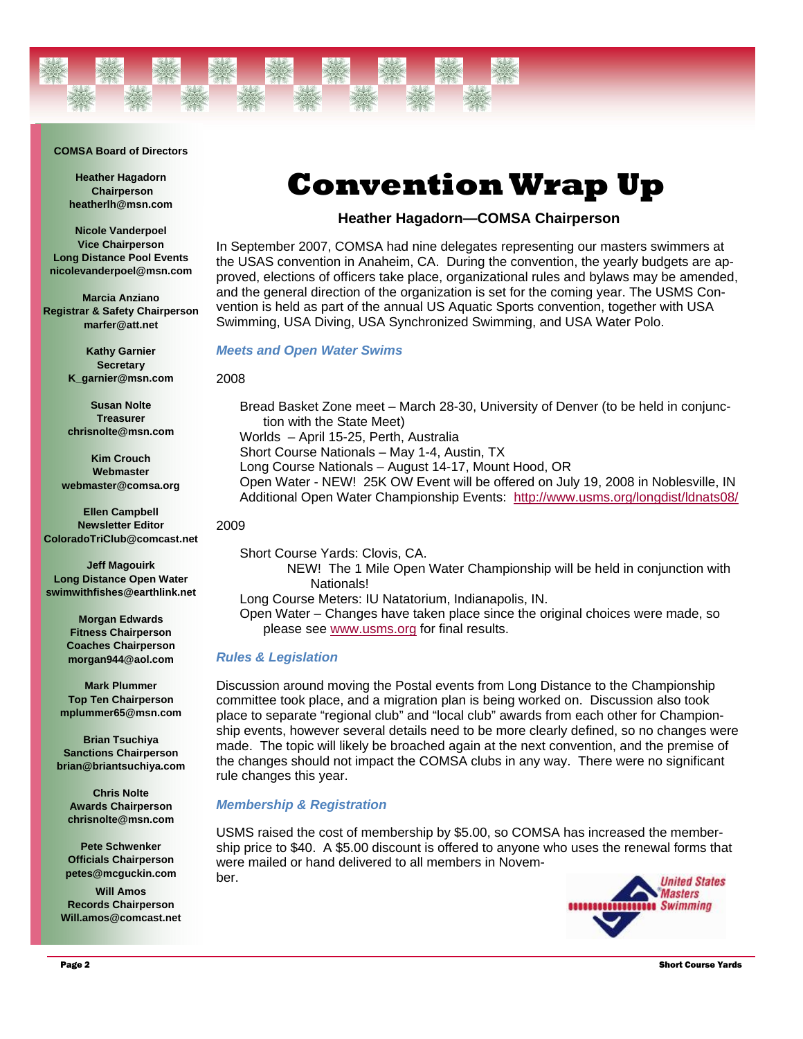#### **COMSA Board of Directors**

**Heather Hagadorn Chairperson heatherlh@msn.com** 

**Nicole Vanderpoel Vice Chairperson Long Distance Pool Events nicolevanderpoel@msn.com** 

**Marcia Anziano Registrar & Safety Chairperson marfer@att.net** 

> **Kathy Garnier Secretary K\_garnier@msn.com**

**Susan Nolte Treasurer chrisnolte@msn.com** 

**Kim Crouch Webmaster webmaster@comsa.org** 

**Ellen Campbell Newsletter Editor ColoradoTriClub@comcast.net** 

**Jeff Magouirk Long Distance Open Water swimwithfishes@earthlink.net** 

> **Morgan Edwards Fitness Chairperson Coaches Chairperson morgan944@aol.com**

**Mark Plummer Top Ten Chairperson mplummer65@msn.com** 

**Brian Tsuchiya Sanctions Chairperson brian@briantsuchiya.com** 

**Chris Nolte Awards Chairperson chrisnolte@msn.com** 

**Pete Schwenker Officials Chairperson petes@mcguckin.com** 

**Will Amos Records Chairperson Will.amos@comcast.net**

# **Convention Wrap Up**

#### **Heather Hagadorn—COMSA Chairperson**

In September 2007, COMSA had nine delegates representing our masters swimmers at the USAS convention in Anaheim, CA. During the convention, the yearly budgets are approved, elections of officers take place, organizational rules and bylaws may be amended, and the general direction of the organization is set for the coming year. The USMS Convention is held as part of the annual US Aquatic Sports convention, together with USA Swimming, USA Diving, USA Synchronized Swimming, and USA Water Polo.

#### *Meets and Open Water Swims*

2008

Bread Basket Zone meet – March 28-30, University of Denver (to be held in conjunction with the State Meet) Worlds – April 15-25, Perth, Australia Short Course Nationals – May 1-4, Austin, TX Long Course Nationals – August 14-17, Mount Hood, OR Open Water - NEW! 25K OW Event will be offered on July 19, 2008 in Noblesville, IN Additional Open Water Championship Events: http://www.usms.org/longdist/ldnats08/

2009

Short Course Yards: Clovis, CA. NEW! The 1 Mile Open Water Championship will be held in conjunction with Nationals! Long Course Meters: IU Natatorium, Indianapolis, IN. Open Water – Changes have taken place since the original choices were made, so please see www.usms.org for final results.

#### *Rules & Legislation*

Discussion around moving the Postal events from Long Distance to the Championship committee took place, and a migration plan is being worked on. Discussion also took place to separate "regional club" and "local club" awards from each other for Championship events, however several details need to be more clearly defined, so no changes were made. The topic will likely be broached again at the next convention, and the premise of the changes should not impact the COMSA clubs in any way. There were no significant rule changes this year.

#### *Membership & Registration*

USMS raised the cost of membership by \$5.00, so COMSA has increased the membership price to \$40. A \$5.00 discount is offered to anyone who uses the renewal forms that were mailed or hand delivered to all members in November.

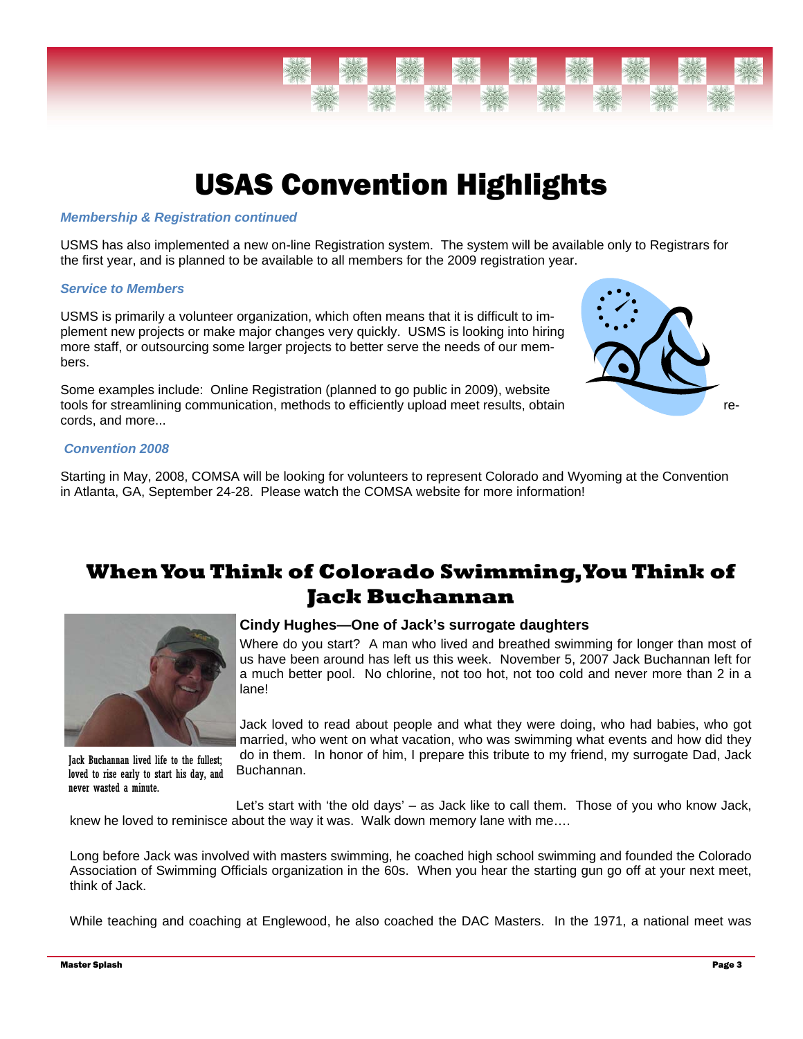

# USAS Convention Highlights

#### *Membership & Registration continued*

USMS has also implemented a new on-line Registration system. The system will be available only to Registrars for the first year, and is planned to be available to all members for the 2009 registration year.

#### *Service to Members*

USMS is primarily a volunteer organization, which often means that it is difficult to implement new projects or make major changes very quickly. USMS is looking into hiring more staff, or outsourcing some larger projects to better serve the needs of our members.

Some examples include: Online Registration (planned to go public in 2009), website tools for streamlining communication, methods to efficiently upload meet results, obtain records, and more...



#### *Convention 2008*

Starting in May, 2008, COMSA will be looking for volunteers to represent Colorado and Wyoming at the Convention in Atlanta, GA, September 24-28. Please watch the COMSA website for more information!

#### **When You Think of Colorado Swimming, You Think of Jack Buchannan**



Jack Buchannan lived life to the fullest; loved to rise early to start his day, and

#### **Cindy Hughes—One of Jack's surrogate daughters**

Where do you start? A man who lived and breathed swimming for longer than most of us have been around has left us this week. November 5, 2007 Jack Buchannan left for a much better pool. No chlorine, not too hot, not too cold and never more than 2 in a lane!

Jack loved to read about people and what they were doing, who had babies, who got married, who went on what vacation, who was swimming what events and how did they do in them. In honor of him, I prepare this tribute to my friend, my surrogate Dad, Jack Buchannan.

Let's start with 'the old days' – as Jack like to call them. Those of you who know Jack, knew he loved to reminisce about the way it was. Walk down memory lane with me…. never wasted a minute.

Long before Jack was involved with masters swimming, he coached high school swimming and founded the Colorado Association of Swimming Officials organization in the 60s. When you hear the starting gun go off at your next meet, think of Jack.

While teaching and coaching at Englewood, he also coached the DAC Masters. In the 1971, a national meet was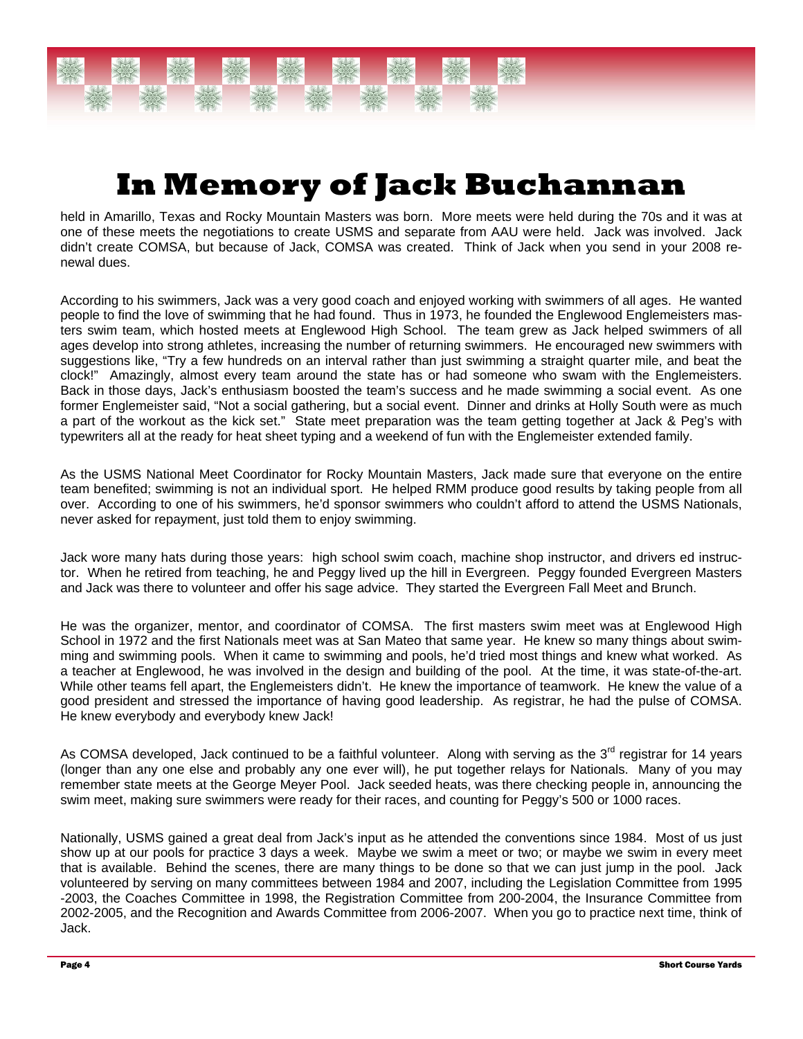# **In Memory of Jack Buchannan**

held in Amarillo, Texas and Rocky Mountain Masters was born. More meets were held during the 70s and it was at one of these meets the negotiations to create USMS and separate from AAU were held. Jack was involved. Jack didn't create COMSA, but because of Jack, COMSA was created. Think of Jack when you send in your 2008 renewal dues.

According to his swimmers, Jack was a very good coach and enjoyed working with swimmers of all ages. He wanted people to find the love of swimming that he had found. Thus in 1973, he founded the Englewood Englemeisters masters swim team, which hosted meets at Englewood High School. The team grew as Jack helped swimmers of all ages develop into strong athletes, increasing the number of returning swimmers. He encouraged new swimmers with suggestions like, "Try a few hundreds on an interval rather than just swimming a straight quarter mile, and beat the clock!" Amazingly, almost every team around the state has or had someone who swam with the Englemeisters. Back in those days, Jack's enthusiasm boosted the team's success and he made swimming a social event. As one former Englemeister said, "Not a social gathering, but a social event. Dinner and drinks at Holly South were as much a part of the workout as the kick set." State meet preparation was the team getting together at Jack & Peg's with typewriters all at the ready for heat sheet typing and a weekend of fun with the Englemeister extended family.

As the USMS National Meet Coordinator for Rocky Mountain Masters, Jack made sure that everyone on the entire team benefited; swimming is not an individual sport. He helped RMM produce good results by taking people from all over. According to one of his swimmers, he'd sponsor swimmers who couldn't afford to attend the USMS Nationals, never asked for repayment, just told them to enjoy swimming.

Jack wore many hats during those years: high school swim coach, machine shop instructor, and drivers ed instructor. When he retired from teaching, he and Peggy lived up the hill in Evergreen. Peggy founded Evergreen Masters and Jack was there to volunteer and offer his sage advice. They started the Evergreen Fall Meet and Brunch.

He was the organizer, mentor, and coordinator of COMSA. The first masters swim meet was at Englewood High School in 1972 and the first Nationals meet was at San Mateo that same year. He knew so many things about swimming and swimming pools. When it came to swimming and pools, he'd tried most things and knew what worked. As a teacher at Englewood, he was involved in the design and building of the pool. At the time, it was state-of-the-art. While other teams fell apart, the Englemeisters didn't. He knew the importance of teamwork. He knew the value of a good president and stressed the importance of having good leadership. As registrar, he had the pulse of COMSA. He knew everybody and everybody knew Jack!

As COMSA developed, Jack continued to be a faithful volunteer. Along with serving as the 3<sup>rd</sup> registrar for 14 years (longer than any one else and probably any one ever will), he put together relays for Nationals. Many of you may remember state meets at the George Meyer Pool. Jack seeded heats, was there checking people in, announcing the swim meet, making sure swimmers were ready for their races, and counting for Peggy's 500 or 1000 races.

Nationally, USMS gained a great deal from Jack's input as he attended the conventions since 1984. Most of us just show up at our pools for practice 3 days a week. Maybe we swim a meet or two; or maybe we swim in every meet that is available. Behind the scenes, there are many things to be done so that we can just jump in the pool. Jack volunteered by serving on many committees between 1984 and 2007, including the Legislation Committee from 1995 -2003, the Coaches Committee in 1998, the Registration Committee from 200-2004, the Insurance Committee from 2002-2005, and the Recognition and Awards Committee from 2006-2007. When you go to practice next time, think of Jack.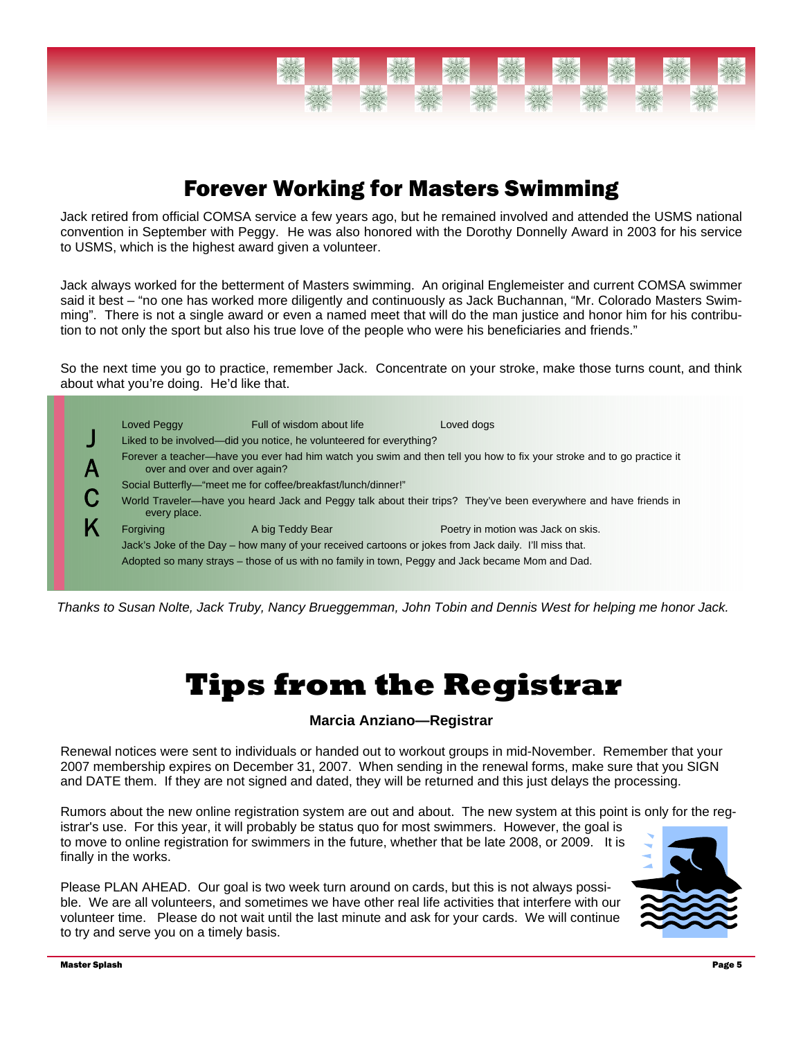

### Forever Working for Masters Swimming

Jack retired from official COMSA service a few years ago, but he remained involved and attended the USMS national convention in September with Peggy. He was also honored with the Dorothy Donnelly Award in 2003 for his service to USMS, which is the highest award given a volunteer.

Jack always worked for the betterment of Masters swimming. An original Englemeister and current COMSA swimmer said it best – "no one has worked more diligently and continuously as Jack Buchannan, "Mr. Colorado Masters Swimming". There is not a single award or even a named meet that will do the man justice and honor him for his contribution to not only the sport but also his true love of the people who were his beneficiaries and friends."

So the next time you go to practice, remember Jack. Concentrate on your stroke, make those turns count, and think about what you're doing. He'd like that.



*Thanks to Susan Nolte, Jack Truby, Nancy Brueggemman, John Tobin and Dennis West for helping me honor Jack.* 

# **Tips from the Registrar**

#### **Marcia Anziano—Registrar**

Renewal notices were sent to individuals or handed out to workout groups in mid-November. Remember that your 2007 membership expires on December 31, 2007. When sending in the renewal forms, make sure that you SIGN and DATE them. If they are not signed and dated, they will be returned and this just delays the processing.

Rumors about the new online registration system are out and about. The new system at this point is only for the registrar's use. For this year, it will probably be status quo for most swimmers. However, the goal is to move to online registration for swimmers in the future, whether that be late 2008, or 2009. It is finally in the works.

Please PLAN AHEAD. Our goal is two week turn around on cards, but this is not always possible. We are all volunteers, and sometimes we have other real life activities that interfere with our volunteer time. Please do not wait until the last minute and ask for your cards. We will continue to try and serve you on a timely basis.

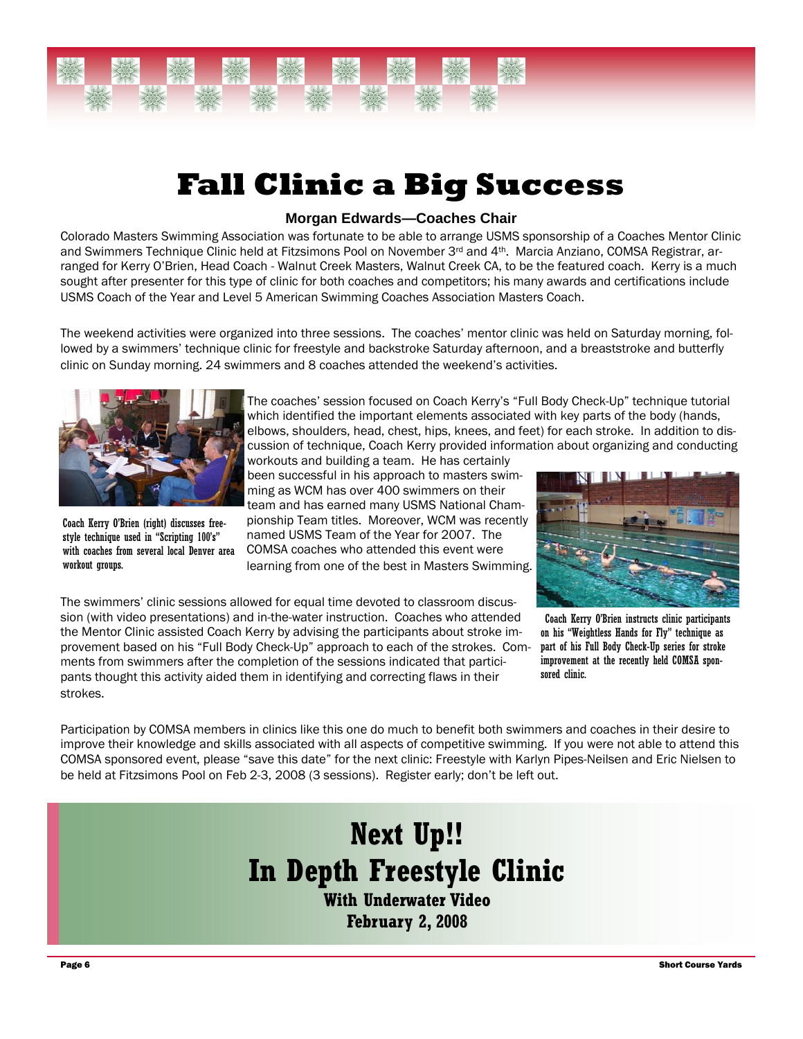

# **Fall Clinic a Big Success**

#### **Morgan Edwards—Coaches Chair**

Colorado Masters Swimming Association was fortunate to be able to arrange USMS sponsorship of a Coaches Mentor Clinic and Swimmers Technique Clinic held at Fitzsimons Pool on November 3<sup>rd</sup> and 4<sup>th</sup>. Marcia Anziano, COMSA Registrar, arranged for Kerry O'Brien, Head Coach - Walnut Creek Masters, Walnut Creek CA, to be the featured coach. Kerry is a much sought after presenter for this type of clinic for both coaches and competitors; his many awards and certifications include USMS Coach of the Year and Level 5 American Swimming Coaches Association Masters Coach.

The weekend activities were organized into three sessions. The coaches' mentor clinic was held on Saturday morning, followed by a swimmers' technique clinic for freestyle and backstroke Saturday afternoon, and a breaststroke and butterfly clinic on Sunday morning. 24 swimmers and 8 coaches attended the weekend's activities.



Coach Kerry O'Brien (right) discusses freestyle technique used in "Scripting 100's" with coaches from several local Denver area workout groups.

The coaches' session focused on Coach Kerry's "Full Body Check-Up" technique tutorial which identified the important elements associated with key parts of the body (hands, elbows, shoulders, head, chest, hips, knees, and feet) for each stroke. In addition to discussion of technique, Coach Kerry provided information about organizing and conducting

workouts and building a team. He has certainly been successful in his approach to masters swimming as WCM has over 400 swimmers on their team and has earned many USMS National Championship Team titles. Moreover, WCM was recently named USMS Team of the Year for 2007. The COMSA coaches who attended this event were learning from one of the best in Masters Swimming.



The swimmers' clinic sessions allowed for equal time devoted to classroom discussion (with video presentations) and in-the-water instruction. Coaches who attended the Mentor Clinic assisted Coach Kerry by advising the participants about stroke improvement based on his "Full Body Check-Up" approach to each of the strokes. Comments from swimmers after the completion of the sessions indicated that participants thought this activity aided them in identifying and correcting flaws in their strokes.

Coach Kerry O'Brien instructs clinic participants on his "Weightless Hands for Fly" technique as part of his Full Body Check-Up series for stroke improvement at the recently held COMSA sponsored clinic.

Participation by COMSA members in clinics like this one do much to benefit both swimmers and coaches in their desire to improve their knowledge and skills associated with all aspects of competitive swimming. If you were not able to attend this COMSA sponsored event, please "save this date" for the next clinic: Freestyle with Karlyn Pipes-Neilsen and Eric Nielsen to be held at Fitzsimons Pool on Feb 2-3, 2008 (3 sessions). Register early; don't be left out.

## **Next Up!! In Depth Freestyle Clinic With Underwater Video**

**February 2, 2008**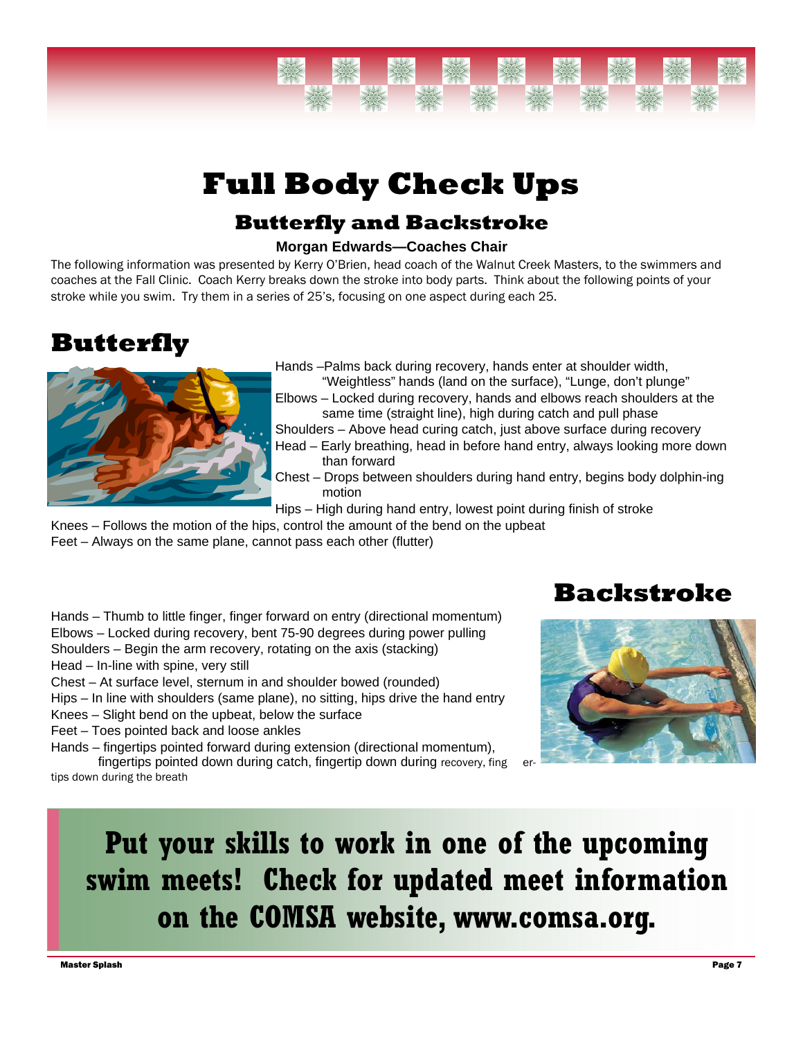# **Full Body Check Ups**

#### **Butterfly and Backstroke**

#### **Morgan Edwards—Coaches Chair**

The following information was presented by Kerry O'Brien, head coach of the Walnut Creek Masters, to the swimmers and coaches at the Fall Clinic. Coach Kerry breaks down the stroke into body parts. Think about the following points of your stroke while you swim. Try them in a series of 25's, focusing on one aspect during each 25.

## **Butterfly**



Hands –Palms back during recovery, hands enter at shoulder width,

- "Weightless" hands (land on the surface), "Lunge, don't plunge" Elbows – Locked during recovery, hands and elbows reach shoulders at the same time (straight line), high during catch and pull phase
- Shoulders Above head curing catch, just above surface during recovery
- Head Early breathing, head in before hand entry, always looking more down than forward
- Chest Drops between shoulders during hand entry, begins body dolphin-ing motion
- Hips High during hand entry, lowest point during finish of stroke
- Knees Follows the motion of the hips, control the amount of the bend on the upbeat

Feet – Always on the same plane, cannot pass each other (flutter)

- Hands Thumb to little finger, finger forward on entry (directional momentum) Elbows – Locked during recovery, bent 75-90 degrees during power pulling Shoulders – Begin the arm recovery, rotating on the axis (stacking) Head – In-line with spine, very still
- Chest At surface level, sternum in and shoulder bowed (rounded)
- Hips In line with shoulders (same plane), no sitting, hips drive the hand entry
- Knees Slight bend on the upbeat, below the surface
- Feet Toes pointed back and loose ankles

Hands – fingertips pointed forward during extension (directional momentum), fingertips pointed down during catch, fingertip down during recovery, fing tips down during the breath

### **Backstroke**



# **Put your skills to work in one of the upcoming swim meets! Check for updated meet information on the COMSA website, www.comsa.org.**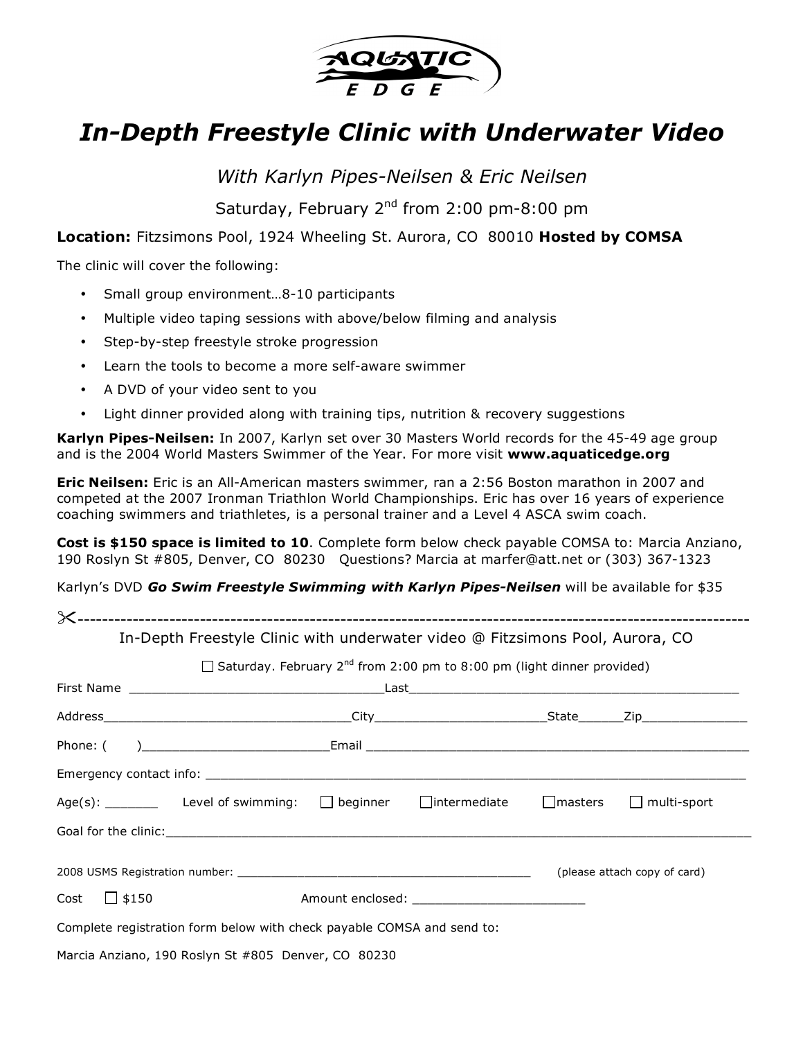

## *In-Depth Freestyle Clinic with Underwater Video*

*With Karlyn Pipes-Neilsen & Eric Neilsen*

Saturday, February 2<sup>nd</sup> from 2:00 pm-8:00 pm

**Location:** Fitzsimons Pool, 1924 Wheeling St. Aurora, CO 80010 **Hosted by COMSA**

The clinic will cover the following:

- Small group environment…8-10 participants
- Multiple video taping sessions with above/below filming and analysis
- Step-by-step freestyle stroke progression
- Learn the tools to become a more self-aware swimmer
- A DVD of your video sent to you
- Light dinner provided along with training tips, nutrition & recovery suggestions

**Karlyn Pipes-Neilsen:** In 2007, Karlyn set over 30 Masters World records for the 45-49 age group and is the 2004 World Masters Swimmer of the Year. For more visit **www.aquaticedge.org**

**Eric Neilsen:** Eric is an All-American masters swimmer, ran a 2:56 Boston marathon in 2007 and competed at the 2007 Ironman Triathlon World Championships. Eric has over 16 years of experience coaching swimmers and triathletes, is a personal trainer and a Level 4 ASCA swim coach.

**Cost is \$150 space is limited to 10**. Complete form below check payable COMSA to: Marcia Anziano, 190 Roslyn St #805, Denver, CO 80230 Questions? Marcia at marfer@att.net or (303) 367-1323

Karlyn's DVD *Go Swim Freestyle Swimming with Karlyn Pipes-Neilsen* will be available for \$35

|                   | In-Depth Freestyle Clinic with underwater video @ Fitzsimons Pool, Aurora, CO                             |                                                                                           |  |  |
|-------------------|-----------------------------------------------------------------------------------------------------------|-------------------------------------------------------------------------------------------|--|--|
|                   |                                                                                                           | $\Box$ Saturday. February 2 <sup>nd</sup> from 2:00 pm to 8:00 pm (light dinner provided) |  |  |
|                   |                                                                                                           |                                                                                           |  |  |
|                   |                                                                                                           |                                                                                           |  |  |
|                   |                                                                                                           |                                                                                           |  |  |
|                   |                                                                                                           |                                                                                           |  |  |
|                   | Age(s): ________ Level of swimming: $\Box$ beginner $\Box$ intermediate $\Box$ masters $\Box$ multi-sport |                                                                                           |  |  |
|                   |                                                                                                           |                                                                                           |  |  |
|                   |                                                                                                           | (please attach copy of card)                                                              |  |  |
| Cost $\Box$ \$150 |                                                                                                           | Amount enclosed: ________________________________                                         |  |  |
|                   | Complete registration form below with check payable COMSA and send to:                                    |                                                                                           |  |  |
|                   | Marcia Anziano, 190 Roslyn St #805 Denver, CO 80230                                                       |                                                                                           |  |  |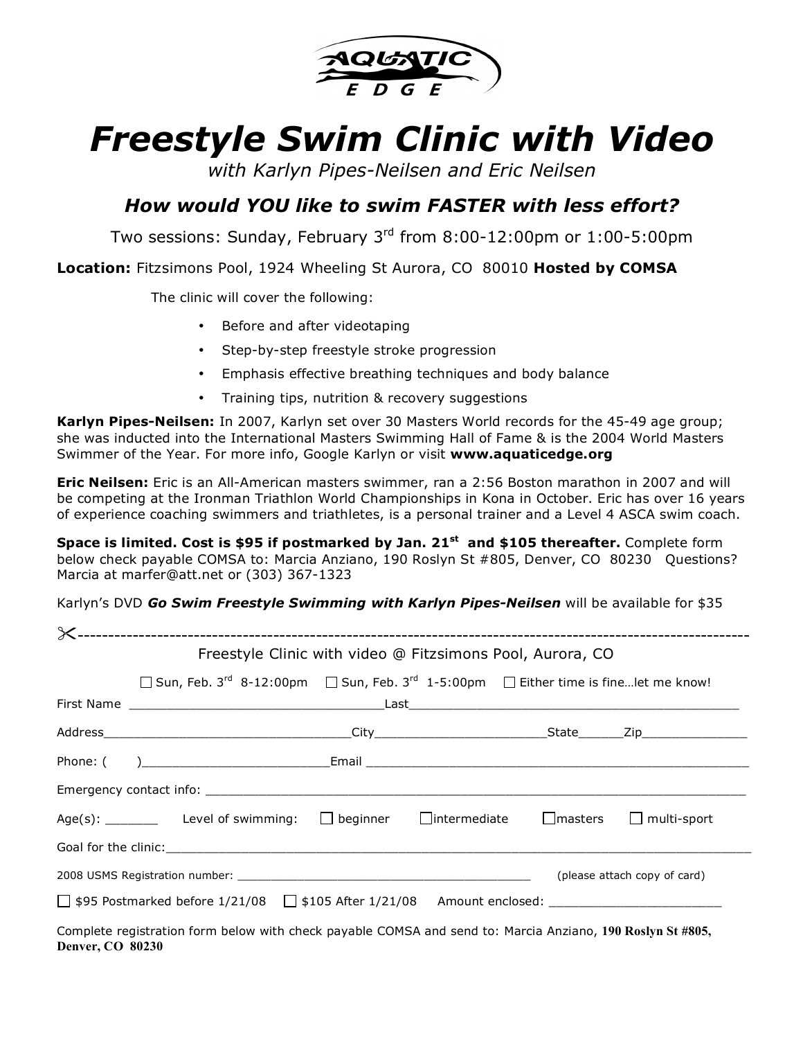

# *Freestyle Swim Clinic with Video*

*with Karlyn Pipes-Neilsen and Eric Neilsen*

#### *How would YOU like to swim FASTER with less effort?*

Two sessions: Sunday, February 3rd from 8:00-12:00pm or 1:00-5:00pm

**Location:** Fitzsimons Pool, 1924 Wheeling St Aurora, CO 80010 **Hosted by COMSA**

The clinic will cover the following:

- Before and after videotaping
- Step-by-step freestyle stroke progression
- Emphasis effective breathing techniques and body balance
- Training tips, nutrition & recovery suggestions

**Karlyn Pipes-Neilsen:** In 2007, Karlyn set over 30 Masters World records for the 45-49 age group; she was inducted into the International Masters Swimming Hall of Fame & is the 2004 World Masters Swimmer of the Year. For more info, Google Karlyn or visit **www.aquaticedge.org**

**Eric Neilsen:** Eric is an All-American masters swimmer, ran a 2:56 Boston marathon in 2007 and will be competing at the Ironman Triathlon World Championships in Kona in October. Eric has over 16 years of experience coaching swimmers and triathletes, is a personal trainer and a Level 4 ASCA swim coach.

**Space is limited. Cost is \$95 if postmarked by Jan. 21st and \$105 thereafter.** Complete form below check payable COMSA to: Marcia Anziano, 190 Roslyn St #805, Denver, CO 80230 Questions? Marcia at marfer@att.net or (303) 367-1323

Karlyn's DVD *Go Swim Freestyle Swimming with Karlyn Pipes-Neilsen* will be available for \$35

|  | Freestyle Clinic with video @ Fitzsimons Pool, Aurora, CO                                                    |  |                              |  |  |  |
|--|--------------------------------------------------------------------------------------------------------------|--|------------------------------|--|--|--|
|  | □ Sun, Feb. 3 <sup>rd</sup> 8-12:00pm □ Sun, Feb. 3 <sup>rd</sup> 1-5:00pm □ Either time is finelet me know! |  |                              |  |  |  |
|  |                                                                                                              |  |                              |  |  |  |
|  |                                                                                                              |  |                              |  |  |  |
|  |                                                                                                              |  |                              |  |  |  |
|  |                                                                                                              |  |                              |  |  |  |
|  | Age(s): _________ Level of swimming: $\Box$ beginner $\Box$ intermediate $\Box$ masters $\Box$ multi-sport   |  |                              |  |  |  |
|  |                                                                                                              |  |                              |  |  |  |
|  |                                                                                                              |  | (please attach copy of card) |  |  |  |
|  |                                                                                                              |  |                              |  |  |  |
|  | Complete registration form below with check payable COMSA and send to: Marcia Anziano, 190 Roslyn St #805,   |  |                              |  |  |  |

Complete registration form below with check payable COMSA and send to: Marcia Anziano, **190 Roslyn St #805, Denver, CO 80230**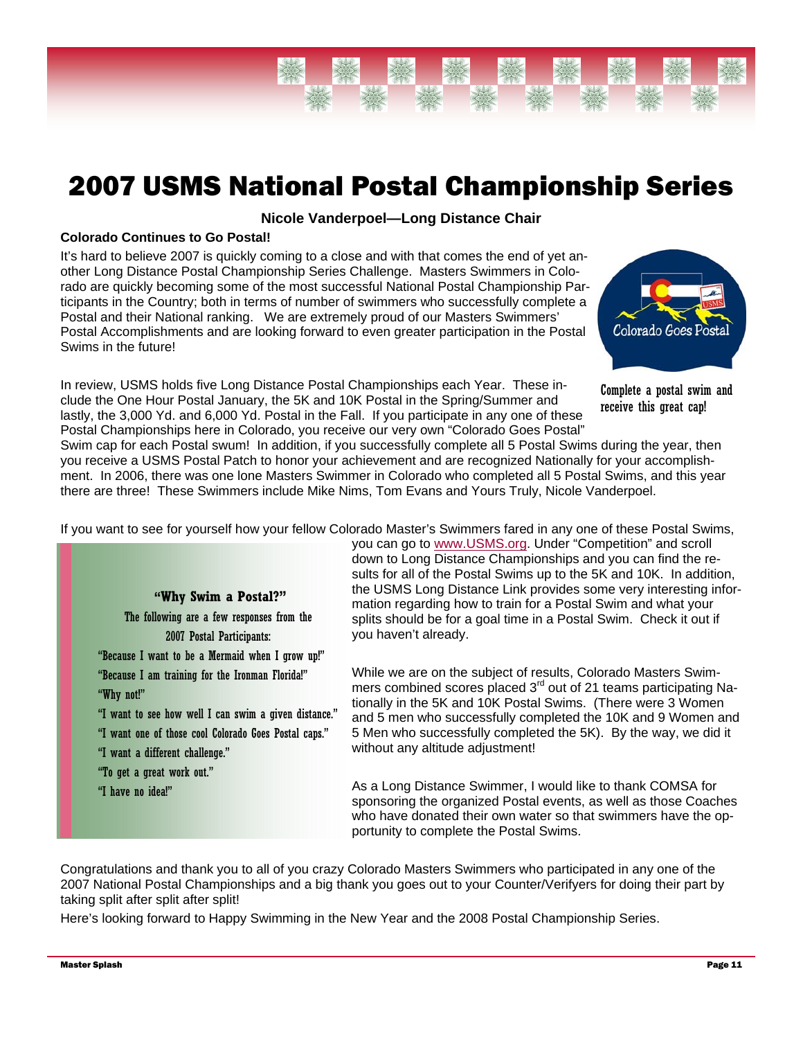

## 2007 USMS National Postal Championship Series

#### **Nicole Vanderpoel—Long Distance Chair**

#### **Colorado Continues to Go Postal!**

It's hard to believe 2007 is quickly coming to a close and with that comes the end of yet another Long Distance Postal Championship Series Challenge. Masters Swimmers in Colorado are quickly becoming some of the most successful National Postal Championship Participants in the Country; both in terms of number of swimmers who successfully complete a Postal and their National ranking. We are extremely proud of our Masters Swimmers' Postal Accomplishments and are looking forward to even greater participation in the Postal Swims in the future!

In review, USMS holds five Long Distance Postal Championships each Year. These include the One Hour Postal January, the 5K and 10K Postal in the Spring/Summer and lastly, the 3,000 Yd. and 6,000 Yd. Postal in the Fall. If you participate in any one of these Postal Championships here in Colorado, you receive our very own "Colorado Goes Postal"



Complete a postal swim and receive this great cap!

Swim cap for each Postal swum! In addition, if you successfully complete all 5 Postal Swims during the year, then you receive a USMS Postal Patch to honor your achievement and are recognized Nationally for your accomplishment. In 2006, there was one lone Masters Swimmer in Colorado who completed all 5 Postal Swims, and this year there are three! These Swimmers include Mike Nims, Tom Evans and Yours Truly, Nicole Vanderpoel.

If you want to see for yourself how your fellow Colorado Master's Swimmers fared in any one of these Postal Swims,



The following are a few responses from the 2007 Postal Participants: "Because I want to be a Mermaid when I grow up!" "Because I am training for the Ironman Florida!" "Why not!" "I want to see how well I can swim a given distance."

"I want one of those cool Colorado Goes Postal caps."

- "I want a different challenge."
- "To get a great work out."
- "I have no idea!"

you can go to www.USMS.org. Under "Competition" and scroll down to Long Distance Championships and you can find the results for all of the Postal Swims up to the 5K and 10K. In addition, the USMS Long Distance Link provides some very interesting information regarding how to train for a Postal Swim and what your splits should be for a goal time in a Postal Swim. Check it out if you haven't already.

While we are on the subject of results, Colorado Masters Swimmers combined scores placed 3<sup>rd</sup> out of 21 teams participating Nationally in the 5K and 10K Postal Swims. (There were 3 Women and 5 men who successfully completed the 10K and 9 Women and 5 Men who successfully completed the 5K). By the way, we did it without any altitude adjustment!

As a Long Distance Swimmer, I would like to thank COMSA for sponsoring the organized Postal events, as well as those Coaches who have donated their own water so that swimmers have the opportunity to complete the Postal Swims.

Congratulations and thank you to all of you crazy Colorado Masters Swimmers who participated in any one of the 2007 National Postal Championships and a big thank you goes out to your Counter/Verifyers for doing their part by taking split after split after split!

Here's looking forward to Happy Swimming in the New Year and the 2008 Postal Championship Series.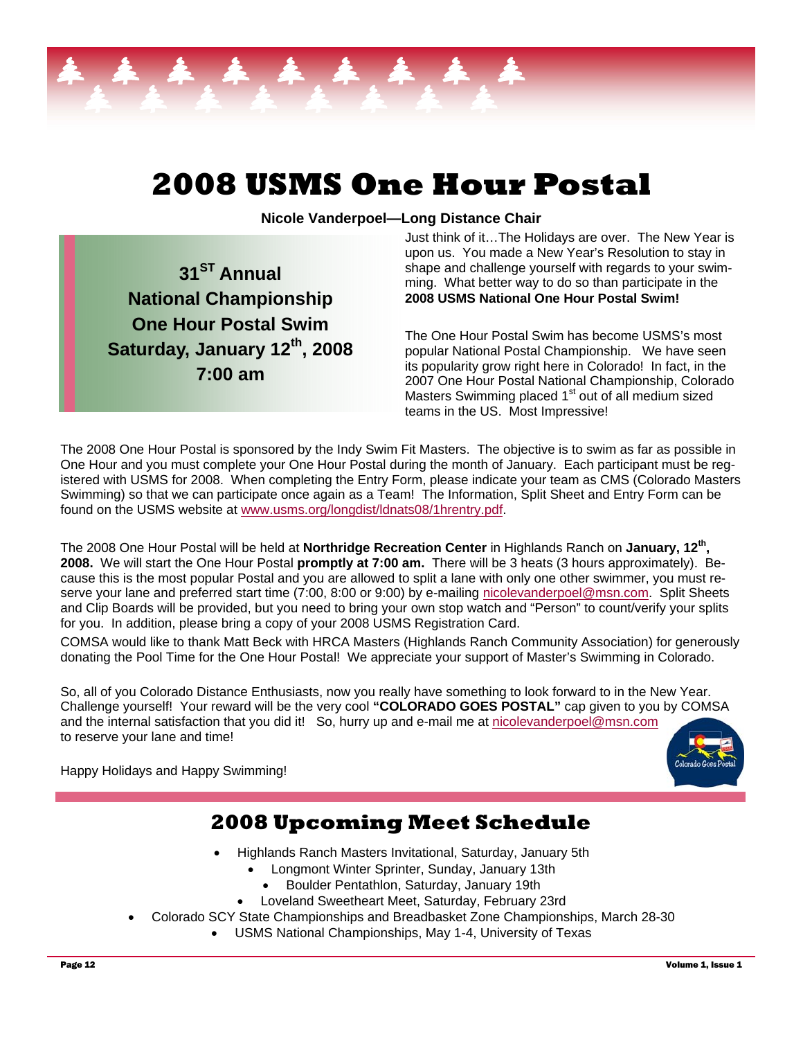

# **2008 USMS One Hour Postal**

**Nicole Vanderpoel—Long Distance Chair** 

**31ST Annual National Championship One Hour Postal Swim**  Saturday, January 12<sup>th</sup>, 2008 **7:00 am** 

#### Just think of it…The Holidays are over. The New Year is upon us. You made a New Year's Resolution to stay in shape and challenge yourself with regards to your swimming. What better way to do so than participate in the **2008 USMS National One Hour Postal Swim!**

The One Hour Postal Swim has become USMS's most popular National Postal Championship. We have seen its popularity grow right here in Colorado! In fact, in the 2007 One Hour Postal National Championship, Colorado Masters Swimming placed 1<sup>st</sup> out of all medium sized teams in the US. Most Impressive!

The 2008 One Hour Postal is sponsored by the Indy Swim Fit Masters. The objective is to swim as far as possible in One Hour and you must complete your One Hour Postal during the month of January. Each participant must be registered with USMS for 2008. When completing the Entry Form, please indicate your team as CMS (Colorado Masters Swimming) so that we can participate once again as a Team! The Information, Split Sheet and Entry Form can be found on the USMS website at www.usms.org/longdist/ldnats08/1hrentry.pdf.

The 2008 One Hour Postal will be held at **Northridge Recreation Center** in Highlands Ranch on **January, 12th, 2008.** We will start the One Hour Postal **promptly at 7:00 am.** There will be 3 heats (3 hours approximately). Because this is the most popular Postal and you are allowed to split a lane with only one other swimmer, you must reserve your lane and preferred start time (7:00, 8:00 or 9:00) by e-mailing nicolevanderpoel@msn.com. Split Sheets and Clip Boards will be provided, but you need to bring your own stop watch and "Person" to count/verify your splits for you. In addition, please bring a copy of your 2008 USMS Registration Card.

COMSA would like to thank Matt Beck with HRCA Masters (Highlands Ranch Community Association) for generously donating the Pool Time for the One Hour Postal! We appreciate your support of Master's Swimming in Colorado.

So, all of you Colorado Distance Enthusiasts, now you really have something to look forward to in the New Year. Challenge yourself! Your reward will be the very cool **"COLORADO GOES POSTAL"** cap given to you by COMSA and the internal satisfaction that you did it! So, hurry up and e-mail me at nicolevanderpoel@msn.com to reserve your lane and time!

Happy Holidays and Happy Swimming!

### **2008 Upcoming Meet Schedule**

- Highlands Ranch Masters Invitational, Saturday, January 5th
	- Longmont Winter Sprinter, Sunday, January 13th
		- Boulder Pentathlon, Saturday, January 19th
	- Loveland Sweetheart Meet, Saturday, February 23rd
- Colorado SCY State Championships and Breadbasket Zone Championships, March 28-30
	- USMS National Championships, May 1-4, University of Texas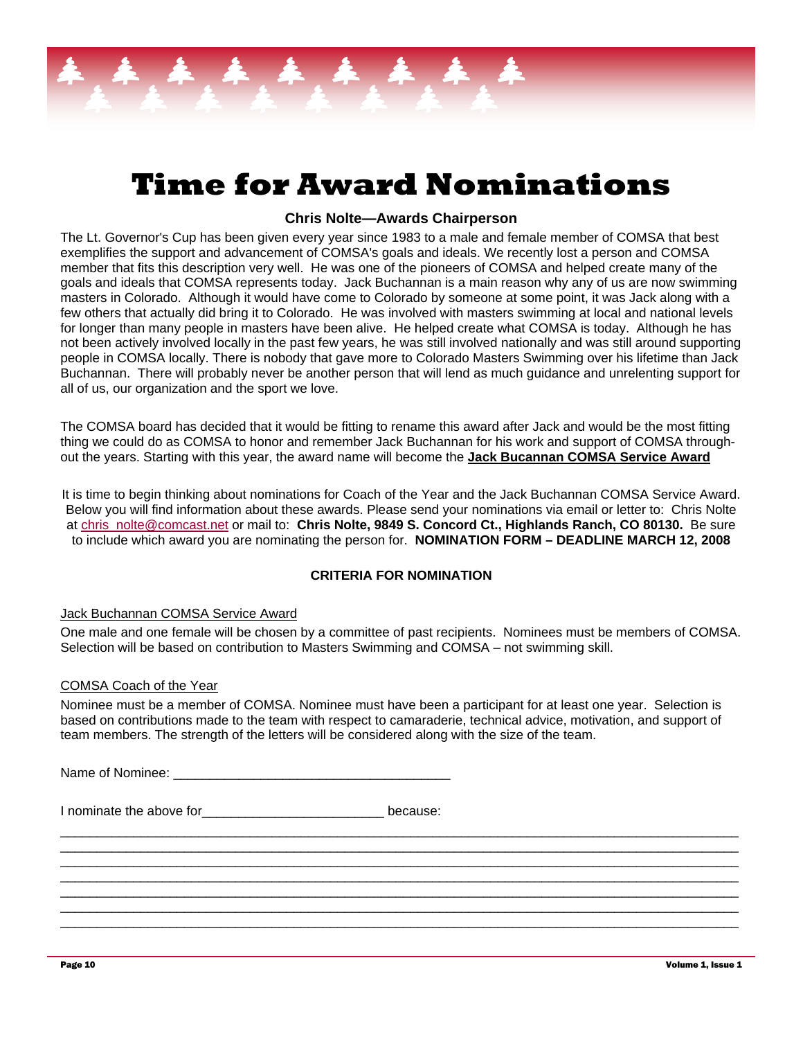# **Time for Award Nominations**

#### **Chris Nolte—Awards Chairperson**

The Lt. Governor's Cup has been given every year since 1983 to a male and female member of COMSA that best exemplifies the support and advancement of COMSA's goals and ideals. We recently lost a person and COMSA member that fits this description very well. He was one of the pioneers of COMSA and helped create many of the goals and ideals that COMSA represents today. Jack Buchannan is a main reason why any of us are now swimming masters in Colorado. Although it would have come to Colorado by someone at some point, it was Jack along with a few others that actually did bring it to Colorado. He was involved with masters swimming at local and national levels for longer than many people in masters have been alive. He helped create what COMSA is today. Although he has not been actively involved locally in the past few years, he was still involved nationally and was still around supporting people in COMSA locally. There is nobody that gave more to Colorado Masters Swimming over his lifetime than Jack Buchannan. There will probably never be another person that will lend as much guidance and unrelenting support for all of us, our organization and the sport we love.

The COMSA board has decided that it would be fitting to rename this award after Jack and would be the most fitting thing we could do as COMSA to honor and remember Jack Buchannan for his work and support of COMSA throughout the years. Starting with this year, the award name will become the **Jack Bucannan COMSA Service Award**

It is time to begin thinking about nominations for Coach of the Year and the Jack Buchannan COMSA Service Award. Below you will find information about these awards. Please send your nominations via email or letter to: Chris Nolte at chris nolte@comcast.net or mail to: Chris Nolte, 9849 S. Concord Ct., Highlands Ranch, CO 80130. Be sure to include which award you are nominating the person for. **NOMINATION FORM – DEADLINE MARCH 12, 2008** 

#### **CRITERIA FOR NOMINATION**

#### Jack Buchannan COMSA Service Award

One male and one female will be chosen by a committee of past recipients. Nominees must be members of COMSA. Selection will be based on contribution to Masters Swimming and COMSA – not swimming skill.

#### COMSA Coach of the Year

Nominee must be a member of COMSA. Nominee must have been a participant for at least one year. Selection is based on contributions made to the team with respect to camaraderie, technical advice, motivation, and support of team members. The strength of the letters will be considered along with the size of the team.

 $\_$  ,  $\_$  ,  $\_$  ,  $\_$  ,  $\_$  ,  $\_$  ,  $\_$  ,  $\_$  ,  $\_$  ,  $\_$  ,  $\_$  ,  $\_$  ,  $\_$  ,  $\_$  ,  $\_$  ,  $\_$  ,  $\_$  ,  $\_$  ,  $\_$  ,  $\_$  ,  $\_$  ,  $\_$  ,  $\_$  ,  $\_$  ,  $\_$  ,  $\_$  ,  $\_$  ,  $\_$  ,  $\_$  ,  $\_$  ,  $\_$  ,  $\_$  ,  $\_$  ,  $\_$  ,  $\_$  ,  $\_$  ,  $\_$  , \_\_\_\_\_\_\_\_\_\_\_\_\_\_\_\_\_\_\_\_\_\_\_\_\_\_\_\_\_\_\_\_\_\_\_\_\_\_\_\_\_\_\_\_\_\_\_\_\_\_\_\_\_\_\_\_\_\_\_\_\_\_\_\_\_\_\_\_\_\_\_\_\_\_\_\_\_\_\_\_\_\_\_\_\_\_\_\_\_\_\_\_\_  $\_$  ,  $\_$  ,  $\_$  ,  $\_$  ,  $\_$  ,  $\_$  ,  $\_$  ,  $\_$  ,  $\_$  ,  $\_$  ,  $\_$  ,  $\_$  ,  $\_$  ,  $\_$  ,  $\_$  ,  $\_$  ,  $\_$  ,  $\_$  ,  $\_$  ,  $\_$  ,  $\_$  ,  $\_$  ,  $\_$  ,  $\_$  ,  $\_$  ,  $\_$  ,  $\_$  ,  $\_$  ,  $\_$  ,  $\_$  ,  $\_$  ,  $\_$  ,  $\_$  ,  $\_$  ,  $\_$  ,  $\_$  ,  $\_$  ,  $\_$  ,  $\_$  ,  $\_$  ,  $\_$  ,  $\_$  ,  $\_$  ,  $\_$  ,  $\_$  ,  $\_$  ,  $\_$  ,  $\_$  ,  $\_$  ,  $\_$  ,  $\_$  ,  $\_$  ,  $\_$  ,  $\_$  ,  $\_$  ,  $\_$  ,  $\_$  ,  $\_$  ,  $\_$  ,  $\_$  ,  $\_$  ,  $\_$  ,  $\_$  ,  $\_$  ,  $\_$  ,  $\_$  ,  $\_$  ,  $\_$  ,  $\_$  ,  $\_$  ,  $\_$  ,  $\_$  ,  $\_$  ,  $\_$  , \_\_\_\_\_\_\_\_\_\_\_\_\_\_\_\_\_\_\_\_\_\_\_\_\_\_\_\_\_\_\_\_\_\_\_\_\_\_\_\_\_\_\_\_\_\_\_\_\_\_\_\_\_\_\_\_\_\_\_\_\_\_\_\_\_\_\_\_\_\_\_\_\_\_\_\_\_\_\_\_\_\_\_\_\_\_\_\_\_\_\_\_\_  $\_$  ,  $\_$  ,  $\_$  ,  $\_$  ,  $\_$  ,  $\_$  ,  $\_$  ,  $\_$  ,  $\_$  ,  $\_$  ,  $\_$  ,  $\_$  ,  $\_$  ,  $\_$  ,  $\_$  ,  $\_$  ,  $\_$  ,  $\_$  ,  $\_$  ,  $\_$  ,  $\_$  ,  $\_$  ,  $\_$  ,  $\_$  ,  $\_$  ,  $\_$  ,  $\_$  ,  $\_$  ,  $\_$  ,  $\_$  ,  $\_$  ,  $\_$  ,  $\_$  ,  $\_$  ,  $\_$  ,  $\_$  ,  $\_$  ,  $\_$  ,  $\_$  ,  $\_$  ,  $\_$  ,  $\_$  ,  $\_$  ,  $\_$  ,  $\_$  ,  $\_$  ,  $\_$  ,  $\_$  ,  $\_$  ,  $\_$  ,  $\_$  ,  $\_$  ,  $\_$  ,  $\_$  ,  $\_$  ,  $\_$  ,  $\_$  ,  $\_$  ,  $\_$  ,  $\_$  ,  $\_$  ,  $\_$  ,  $\_$  ,  $\_$  ,  $\_$  ,  $\_$  ,  $\_$  ,  $\_$  ,  $\_$  ,  $\_$  ,  $\_$  ,  $\_$  ,  $\_$  ,  $\_$  ,

| Name of Nominee: |  |
|------------------|--|
|                  |  |

I nominate the above for **EXACCO EXACCO EXACCO EXACCO EXACCO EXACCO EXACCO EXACCO EXACCO EXACCO EXACCO EXACCO**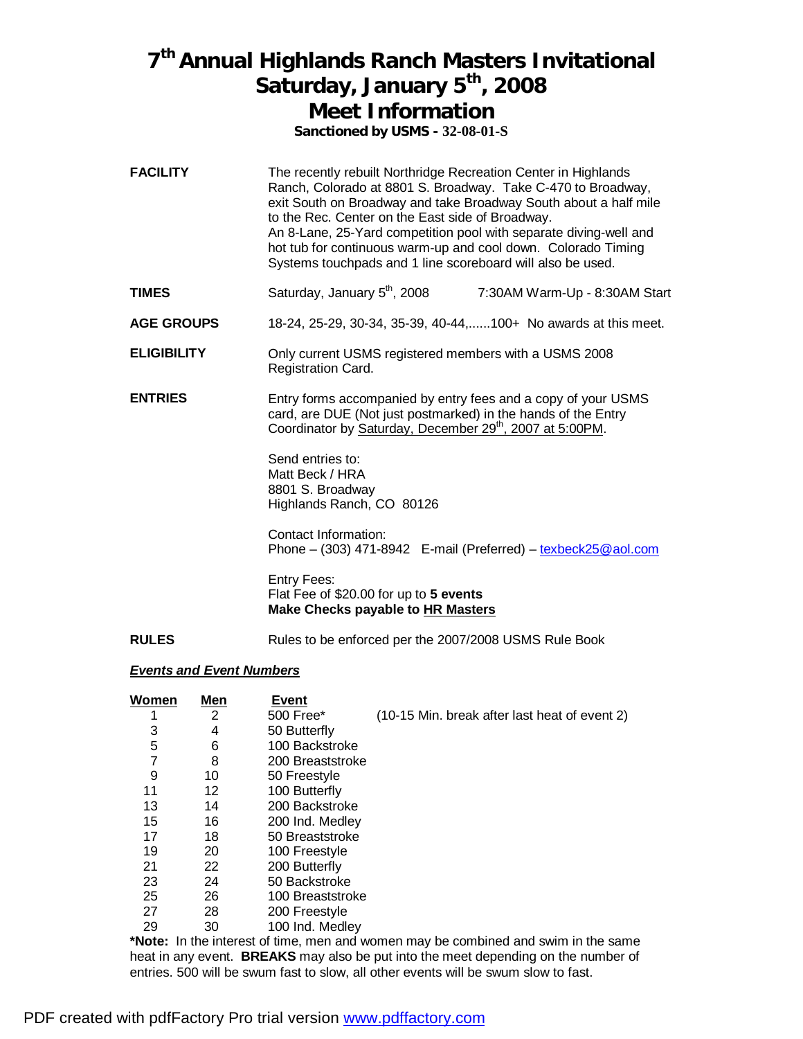### **7 th Annual Highlands Ranch Masters Invitational Saturday, January 5th , 2008 Meet Information**

**Sanctioned by USMS - 32-08-01-S**

- **FACILITY** The recently rebuilt Northridge Recreation Center in Highlands Ranch, Colorado at 8801 S. Broadway. Take C-470 to Broadway, exit South on Broadway and take Broadway South about a half mile to the Rec. Center on the East side of Broadway. An 8-Lane, 25-Yard competition pool with separate diving-well and hot tub for continuous warm-up and cool down. Colorado Timing Systems touchpads and 1 line scoreboard will also be used.
- **TIMES** Saturday, January 5<sup>th</sup>, 2008 7:30AM Warm-Up - 8:30AM Start
- **AGE GROUPS** 18-24, 25-29, 30-34, 35-39, 40-44,......100+ No awards at this meet.
- **ELIGIBILITY** Only current USMS registered members with a USMS 2008 Registration Card.
- **ENTRIES** Entry forms accompanied by entry fees and a copy of your USMS card, are DUE (Not just postmarked) in the hands of the Entry Coordinator by Saturday, December 29<sup>th</sup>, 2007 at 5:00PM.

Send entries to: Matt Beck / HRA 8801 S. Broadway Highlands Ranch, CO 80126

Contact Information: Phone – (303) 471-8942 E-mail (Preferred) – [texbeck25@aol.com](mailto:texbeck25@aol.com)

Entry Fees: Flat Fee of \$20.00 for up to **5 events Make Checks payable to HR Masters**

**RULES** Rules to be enforced per the 2007/2008 USMS Rule Book

#### *Events and Event Numbers*

| Women | <u>Men</u> | <b>Event</b>     |                                                                                         |
|-------|------------|------------------|-----------------------------------------------------------------------------------------|
|       | 2          | 500 Free*        | (10-15 Min. break after last heat of event 2)                                           |
| 3     | 4          | 50 Butterfly     |                                                                                         |
| 5     | 6          | 100 Backstroke   |                                                                                         |
|       | 8          | 200 Breaststroke |                                                                                         |
| 9     | 10         | 50 Freestyle     |                                                                                         |
| 11    | 12         | 100 Butterfly    |                                                                                         |
| 13    | 14         | 200 Backstroke   |                                                                                         |
| 15    | 16         | 200 Ind. Medley  |                                                                                         |
| 17    | 18         | 50 Breaststroke  |                                                                                         |
| 19    | 20         | 100 Freestyle    |                                                                                         |
| 21    | 22         | 200 Butterfly    |                                                                                         |
| 23    | 24         | 50 Backstroke    |                                                                                         |
| 25    | 26         | 100 Breaststroke |                                                                                         |
| 27    | 28         | 200 Freestyle    |                                                                                         |
| 29    | 30         | 100 Ind. Medley  |                                                                                         |
|       |            |                  | *Nata ika kepertampun di tipang pang padunaan pangkanan pangkinad and anipa in tha aana |

**\*Note:** In the interest of time, men and women may be combined and swim in the same heat in any event. **BREAKS** may also be put into the meet depending on the number of entries. 500 will be swum fast to slow, all other events will be swum slow to fast.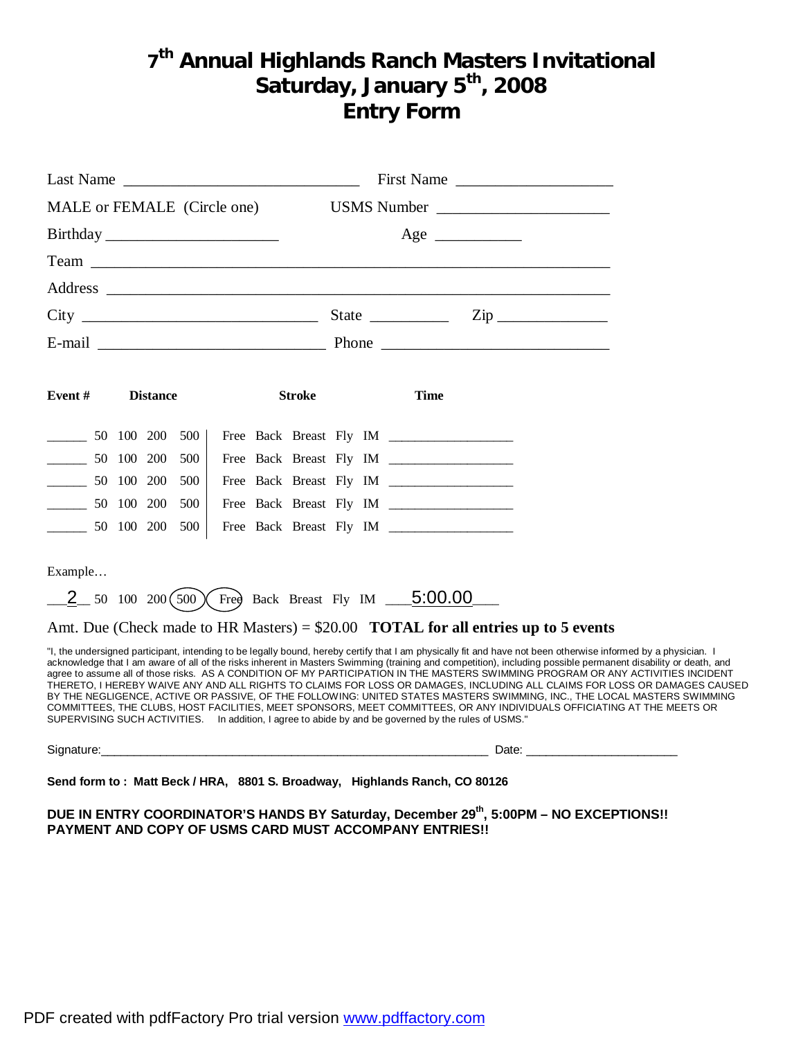### **7 th Annual Highlands Ranch Masters Invitational Saturday, January 5th , 2008 Entry Form**

| Last Name $\frac{1}{\sqrt{1-\frac{1}{2}}}\left\{ \frac{1}{2}, \frac{1}{2}, \frac{1}{2}, \frac{1}{2}, \frac{1}{2}, \frac{1}{2}, \frac{1}{2}, \frac{1}{2}, \frac{1}{2}, \frac{1}{2}, \frac{1}{2}, \frac{1}{2}, \frac{1}{2}, \frac{1}{2}, \frac{1}{2}, \frac{1}{2}, \frac{1}{2}, \frac{1}{2}, \frac{1}{2}, \frac{1}{2}, \frac{1}{2}, \frac{1}{2}, \frac{1}{2}, \frac{1}{2}, \frac{1}{2}, \frac{1}{2}, \frac{1}{2}, \$ |            |                 |     |  |               |  | First Name                                                                                           |                                                                                                                                                                                                                                                                                                                                                                                                                                                                                                                                                                                                                                                                                                                                                                                                                                                          |
|--------------------------------------------------------------------------------------------------------------------------------------------------------------------------------------------------------------------------------------------------------------------------------------------------------------------------------------------------------------------------------------------------------------------|------------|-----------------|-----|--|---------------|--|------------------------------------------------------------------------------------------------------|----------------------------------------------------------------------------------------------------------------------------------------------------------------------------------------------------------------------------------------------------------------------------------------------------------------------------------------------------------------------------------------------------------------------------------------------------------------------------------------------------------------------------------------------------------------------------------------------------------------------------------------------------------------------------------------------------------------------------------------------------------------------------------------------------------------------------------------------------------|
| MALE or FEMALE (Circle one)                                                                                                                                                                                                                                                                                                                                                                                        |            |                 |     |  |               |  | USMS Number                                                                                          |                                                                                                                                                                                                                                                                                                                                                                                                                                                                                                                                                                                                                                                                                                                                                                                                                                                          |
|                                                                                                                                                                                                                                                                                                                                                                                                                    |            |                 |     |  |               |  | $Age \_$                                                                                             |                                                                                                                                                                                                                                                                                                                                                                                                                                                                                                                                                                                                                                                                                                                                                                                                                                                          |
|                                                                                                                                                                                                                                                                                                                                                                                                                    |            |                 |     |  |               |  |                                                                                                      |                                                                                                                                                                                                                                                                                                                                                                                                                                                                                                                                                                                                                                                                                                                                                                                                                                                          |
|                                                                                                                                                                                                                                                                                                                                                                                                                    |            |                 |     |  |               |  |                                                                                                      |                                                                                                                                                                                                                                                                                                                                                                                                                                                                                                                                                                                                                                                                                                                                                                                                                                                          |
|                                                                                                                                                                                                                                                                                                                                                                                                                    |            |                 |     |  |               |  | $City$ $Zip$                                                                                         |                                                                                                                                                                                                                                                                                                                                                                                                                                                                                                                                                                                                                                                                                                                                                                                                                                                          |
|                                                                                                                                                                                                                                                                                                                                                                                                                    |            |                 |     |  |               |  |                                                                                                      |                                                                                                                                                                                                                                                                                                                                                                                                                                                                                                                                                                                                                                                                                                                                                                                                                                                          |
| Event#                                                                                                                                                                                                                                                                                                                                                                                                             |            | <b>Distance</b> |     |  | <b>Stroke</b> |  | <b>Time</b>                                                                                          |                                                                                                                                                                                                                                                                                                                                                                                                                                                                                                                                                                                                                                                                                                                                                                                                                                                          |
| $\overline{\phantom{a}}$                                                                                                                                                                                                                                                                                                                                                                                           |            | 50 100 200      | 500 |  |               |  |                                                                                                      |                                                                                                                                                                                                                                                                                                                                                                                                                                                                                                                                                                                                                                                                                                                                                                                                                                                          |
| $\mathcal{L}^{\text{max}}$ . The set of $\mathcal{L}^{\text{max}}$                                                                                                                                                                                                                                                                                                                                                 | 50 100 200 |                 | 500 |  |               |  |                                                                                                      |                                                                                                                                                                                                                                                                                                                                                                                                                                                                                                                                                                                                                                                                                                                                                                                                                                                          |
| $\frac{1}{2}$ 50 100 200                                                                                                                                                                                                                                                                                                                                                                                           |            |                 | 500 |  |               |  |                                                                                                      |                                                                                                                                                                                                                                                                                                                                                                                                                                                                                                                                                                                                                                                                                                                                                                                                                                                          |
| $\frac{1}{2}$ 50 100 200                                                                                                                                                                                                                                                                                                                                                                                           |            |                 | 500 |  |               |  |                                                                                                      |                                                                                                                                                                                                                                                                                                                                                                                                                                                                                                                                                                                                                                                                                                                                                                                                                                                          |
| 50 100 200 500                                                                                                                                                                                                                                                                                                                                                                                                     |            |                 |     |  |               |  | Free Back Breast Fly IM _________________                                                            |                                                                                                                                                                                                                                                                                                                                                                                                                                                                                                                                                                                                                                                                                                                                                                                                                                                          |
| Example                                                                                                                                                                                                                                                                                                                                                                                                            |            |                 |     |  |               |  |                                                                                                      |                                                                                                                                                                                                                                                                                                                                                                                                                                                                                                                                                                                                                                                                                                                                                                                                                                                          |
|                                                                                                                                                                                                                                                                                                                                                                                                                    |            |                 |     |  |               |  | $-2$ 50 100 200 (500) Free Back Breast Fly IM $-5.00.00$                                             |                                                                                                                                                                                                                                                                                                                                                                                                                                                                                                                                                                                                                                                                                                                                                                                                                                                          |
|                                                                                                                                                                                                                                                                                                                                                                                                                    |            |                 |     |  |               |  | Amt. Due (Check made to HR Masters) = $$20.00$ <b>TOTAL for all entries up to 5 events</b>           |                                                                                                                                                                                                                                                                                                                                                                                                                                                                                                                                                                                                                                                                                                                                                                                                                                                          |
|                                                                                                                                                                                                                                                                                                                                                                                                                    |            |                 |     |  |               |  | SUPERVISING SUCH ACTIVITIES. In addition, I agree to abide by and be governed by the rules of USMS." | "I, the undersigned participant, intending to be legally bound, hereby certify that I am physically fit and have not been otherwise informed by a physician. I<br>acknowledge that I am aware of all of the risks inherent in Masters Swimming (training and competition), including possible permanent disability or death, and<br>agree to assume all of those risks. AS A CONDITION OF MY PARTICIPATION IN THE MASTERS SWIMMING PROGRAM OR ANY ACTIVITIES INCIDENT<br>THERETO, I HEREBY WAIVE ANY AND ALL RIGHTS TO CLAIMS FOR LOSS OR DAMAGES, INCLUDING ALL CLAIMS FOR LOSS OR DAMAGES CAUSED<br>BY THE NEGLIGENCE, ACTIVE OR PASSIVE, OF THE FOLLOWING: UNITED STATES MASTERS SWIMMING, INC., THE LOCAL MASTERS SWIMMING<br>COMMITTEES, THE CLUBS, HOST FACILITIES, MEET SPONSORS, MEET COMMITTEES, OR ANY INDIVIDUALS OFFICIATING AT THE MEETS OR |
|                                                                                                                                                                                                                                                                                                                                                                                                                    |            |                 |     |  |               |  |                                                                                                      | Signature: Date: Discovery and Date: Discovery and Date: Date: Date: Date: Date: Date: Date: Date: D                                                                                                                                                                                                                                                                                                                                                                                                                                                                                                                                                                                                                                                                                                                                                     |

**Send form to : Matt Beck / HRA, 8801 S. Broadway, Highlands Ranch, CO 80126** 

**DUE IN ENTRY COORDINATOR'S HANDS BY Saturday, December 29th , 5:00PM – NO EXCEPTIONS!! PAYMENT AND COPY OF USMS CARD MUST ACCOMPANY ENTRIES!!**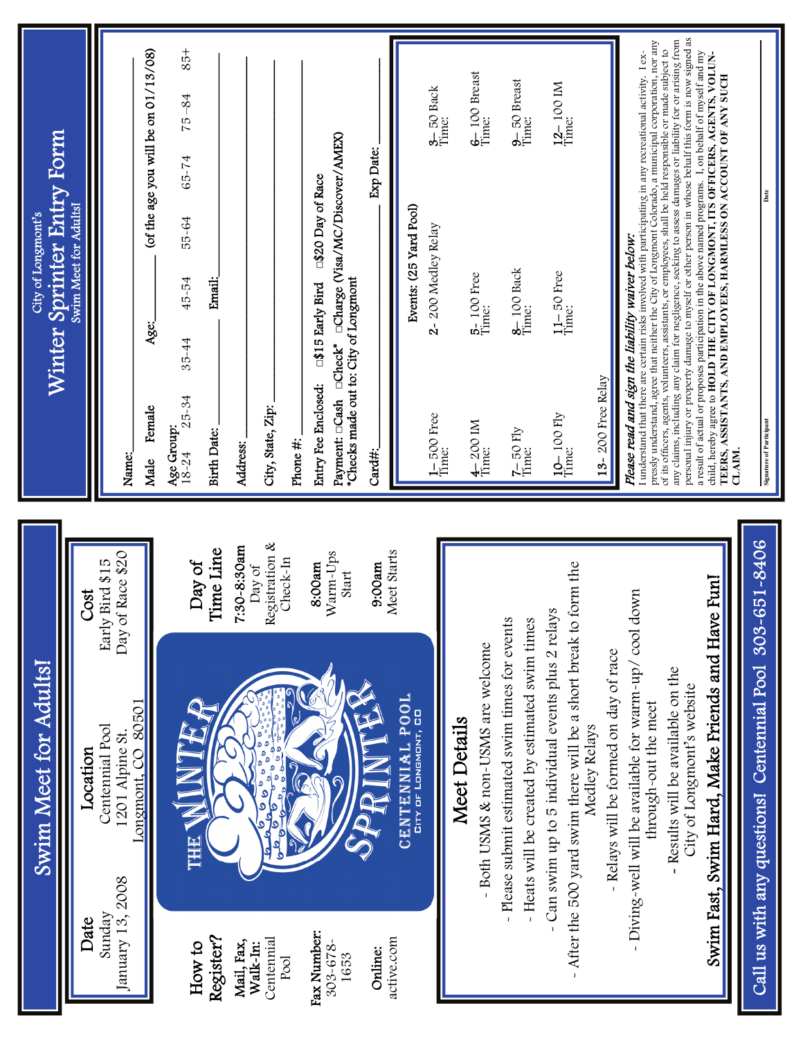| Winter Sprinter Entry Form<br>City of Longmont's | Swim Meet for Adults!    | Name:                                                                                                     | (of the age you will be on 01/13/08)<br>Age:<br>Female<br>Male | 85+<br>$75 - 84$<br>65-74<br>55-64<br>45-54<br>35-44<br>$25 - 34$<br>Age Group:<br>$18 - 24$ | Email:<br>Birth Date:  | Address:                  | City, State, Zip:                                                                                                                  | Phone #:         | Payment: □Cash □Check* □Charge (Visa/MC/Discover/AMEX)<br>□\$20 Day of Race<br>*Checks made out to: City of Longmont<br>□\$15 Early Bird<br>Entry Fee Enclosed: | Exp Date:<br>Card#: | 3-50 Back<br>Time:<br>Events: (25 Yard Pool)<br>2-200 Medley Relay<br>$1 - 500$ Free<br>Time: |                     | 6-100 Breast<br>Time:<br>5-100 Free<br>Time:<br>$\frac{4-200 \text{ IM}}{\text{Time}}$ | 9-50 Breast<br>Time:<br>8-100 Back<br>Time:<br>$7 - 50$ Fly<br>Time:                               | $\frac{12-100 \text{ IM}}{\text{Time}}$<br>$11 - 50$ Free<br>Time:<br>10-100 Fly<br>Time:                             | 13-200 Free Relay                                     | pressly understand, agree that neither the City of Longmont Colorado, a municipal corporation, nor any<br>I understand that there are certain risks involved with participating in any recreational activity. I ex-<br>Please read and sign the liability waiver below. | personal injury or property damage to myself or other person in whose behalf this form is now signed as<br>any claims, including any claim for negligence, seeking to assess damages or liability for or arising from<br>of its officers, agents, volunteers, assistants, or employees, shall be held responsible or made subject to | a result of actual or proposes participation in the above named programs. 1, on behalf of myself and my<br>child, hereby agree to HOLD THE CITY OF LONGMONT, ITS OFFICERS, AGENTS, VOLUN-<br>TEERS, ASSISTANTS, AND EMPLOYEES, HARMLESS ON ACCOUNT OF ANY SUCH | <b>Signature of Participan</b><br><b>CLAIM</b>                      |
|--------------------------------------------------|--------------------------|-----------------------------------------------------------------------------------------------------------|----------------------------------------------------------------|----------------------------------------------------------------------------------------------|------------------------|---------------------------|------------------------------------------------------------------------------------------------------------------------------------|------------------|-----------------------------------------------------------------------------------------------------------------------------------------------------------------|---------------------|-----------------------------------------------------------------------------------------------|---------------------|----------------------------------------------------------------------------------------|----------------------------------------------------------------------------------------------------|-----------------------------------------------------------------------------------------------------------------------|-------------------------------------------------------|-------------------------------------------------------------------------------------------------------------------------------------------------------------------------------------------------------------------------------------------------------------------------|--------------------------------------------------------------------------------------------------------------------------------------------------------------------------------------------------------------------------------------------------------------------------------------------------------------------------------------|----------------------------------------------------------------------------------------------------------------------------------------------------------------------------------------------------------------------------------------------------------------|---------------------------------------------------------------------|
| Swim Meet for Adults!                            | Cost<br>Location<br>Date | of Race \$20<br>Early Bird \$15<br>Day<br>Centennial Pool<br>1201 Alpine St<br>January 13, 2008<br>Sunday | 80501<br>Longmont, CO                                          | Day of<br>THE<br>How to                                                                      | Time Line<br>Register? | 7:30-8:30am<br>Mail, Fax, | Registration &<br>Day of<br>ولوٌ<br>اولوٌ<br>کام<br>٥<br>þ<br>ه<br>٥<br>$\mathbf{a}$<br>$\mathbf{\circ}$<br>Centennial<br>Walk-In: | Check-In<br>Pool | Warm-Ups<br>8:00am<br>Start<br>Fax Number:<br>$303 - 678$<br>1653                                                                                               | 9:00am<br>Online:   | Meet Starts<br>CENTENNIAL POOL<br>CITY OF LONGMONT, CO<br>active.com                          | <b>Meet Details</b> | - Both USMS & non-USMS are welcome                                                     | - Heats will be created by estimated swim times<br>- Please submit estimated swim times for events | After the 500 yard swim there will be a short break to form the<br>- Can swim up to 5 individual events plus 2 relays | Relays will be formed on day of race<br>Medley Relays | down<br>Diving-well will be available for warm-up/cool<br>through-out the meet                                                                                                                                                                                          | Results will be available on the<br>City of Longmont's website<br>$\mathbf{r}$                                                                                                                                                                                                                                                       | Swim Fast, Swim Hard, Make Friends and Have Fun!                                                                                                                                                                                                               | $-651 - 8406$<br>303<br>Call us with any questions! Centennial Pool |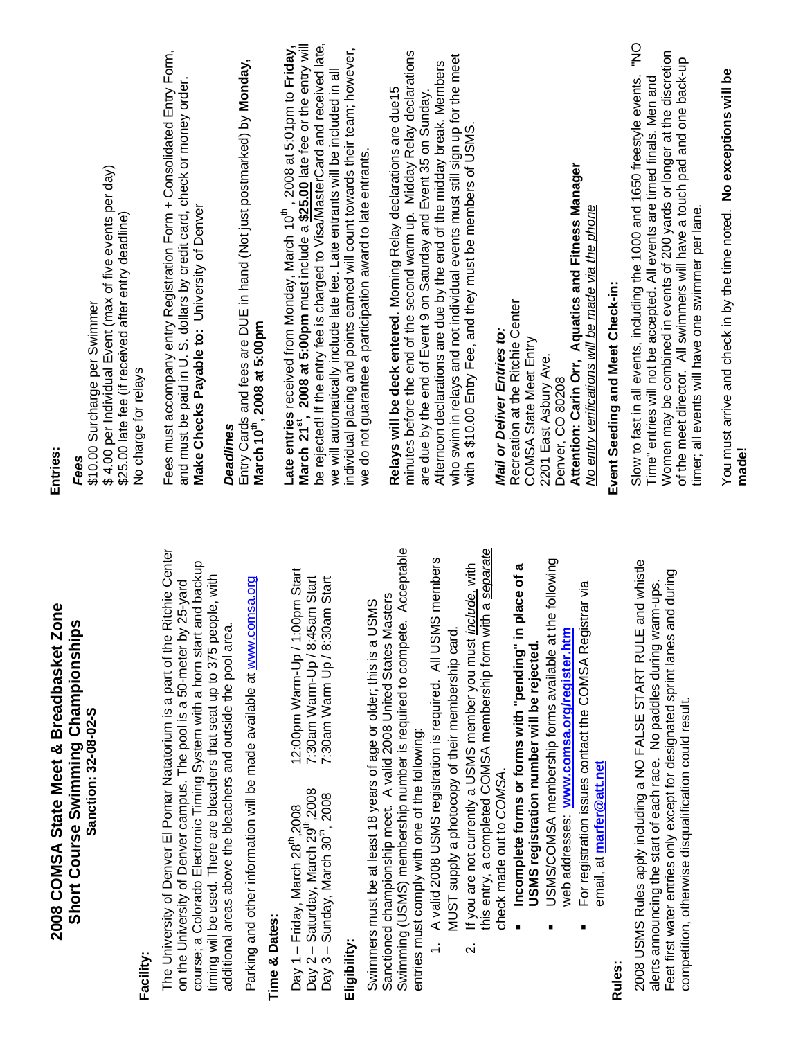| 2008 COMSA State Meet & Breadbasket Zone                                                                                                                                                                                                                                                                      | Entries:                                                                                                                                                                                                                                                                                                                                                                |
|---------------------------------------------------------------------------------------------------------------------------------------------------------------------------------------------------------------------------------------------------------------------------------------------------------------|-------------------------------------------------------------------------------------------------------------------------------------------------------------------------------------------------------------------------------------------------------------------------------------------------------------------------------------------------------------------------|
| Short Course Swimming Championships<br>Sanction: 32-08-02-S                                                                                                                                                                                                                                                   | \$4.00 per Individual Event (max of five events per day)<br>\$25.00 late fee (if received after entry deadline)<br>\$10.00 Surcharge per Swimmer<br>Fees                                                                                                                                                                                                                |
| Facility:                                                                                                                                                                                                                                                                                                     | No charge for relays                                                                                                                                                                                                                                                                                                                                                    |
| The University of Denver El Pomar Natatorium is a part of the Ritchie Center<br>course; a Colorado Electronic Timing System with a hom start and backup<br>timing will be used. There are bleachers that seat up to 375 people, with<br>on the University of Denver campus. The pool is a 50-meter by 25-yard | Fees must accompany entry Registration Form + Consolidated Entry Form,<br>and must be paid in U. S. dollars by credit card, check or money order.<br>Make Checks Payable to: University of Denver                                                                                                                                                                       |
| additional areas above the bleachers and outside the pool area.                                                                                                                                                                                                                                               | <b>Deadlines</b>                                                                                                                                                                                                                                                                                                                                                        |
| Parking and other information will be made available at www.comsa.org                                                                                                                                                                                                                                         | Entry Cards and fees are DUE in hand (Not just postmarked) by Monday,<br>March 10 <sup>th</sup> , 2008 at 5:00pm                                                                                                                                                                                                                                                        |
| <b>Time &amp; Dates:</b>                                                                                                                                                                                                                                                                                      |                                                                                                                                                                                                                                                                                                                                                                         |
| 12:00pm Warm-Up / 1:00pm Start<br>7:30am Warm-Up / 8:45am Start<br>7:30am Warm Up / 8:30am Start<br>Day 1 – Friday, March 28 <sup>th</sup> ,2008<br>Day 2 – Saturday, March 29 <sup>th</sup> ,2008<br>Day 3 - Sunday, March 30 <sup>th</sup> , 2008                                                           | be rejected! If the entry fee is charged to Visa/MasterCard and received late,<br>Late entries received from Monday, March 10 <sup>th</sup> , 2008 at 5:01pm to Friday,<br>March 21 <sup>st</sup> , 2008 at 5:00pm must include a <u>\$25.00</u> late fee or the entry will<br>we will automatically include late fee. Late entrants will be included in all            |
| Eligibility:                                                                                                                                                                                                                                                                                                  | individual placing and points earned will count towards their team; however,                                                                                                                                                                                                                                                                                            |
| Swimmers must be at least 18 years of age or older; this is a USMS                                                                                                                                                                                                                                            | we do not guarantee a participation award to late entrants.                                                                                                                                                                                                                                                                                                             |
| Acceptable<br>Sanctioned championship meet. A valid 2008 United States Masters<br>Swimming (USMS) membership number is required to compete.<br>entries must comply with one of the following:                                                                                                                 | minutes before the end of the second warm up. Midday Relay declarations<br>Relays will be deck entered. Morning Relay declarations are due15                                                                                                                                                                                                                            |
| members<br>A valid 2008 USMS registration is required. All USMS<br>$\div$                                                                                                                                                                                                                                     | are due by the end of Event 9 on Saturday and Event 35 on Sunday.                                                                                                                                                                                                                                                                                                       |
| MUST supply a photocopy of their membership card.                                                                                                                                                                                                                                                             | who swim in relays and not individual events must still sign up for the meet<br>Aftemoon declarations are due by the end of the midday break. Members                                                                                                                                                                                                                   |
| a separate<br>If you are not currently a USMS member you must <i>include</i> , with<br>this entry, a completed COMSA membership form with<br>$\overline{\mathbf{v}}$                                                                                                                                          | with a \$10.00 Entry Fee, and they must be members of USMS.                                                                                                                                                                                                                                                                                                             |
| check made out to COMSA.                                                                                                                                                                                                                                                                                      | Mail or Deliver Entries to:                                                                                                                                                                                                                                                                                                                                             |
| lace of a<br>Incomplete forms or forms with "pending" in pl<br>USMS registration number will be rejected.                                                                                                                                                                                                     | Recreation at the Ritchie Center<br>COMSA State Meet Entry                                                                                                                                                                                                                                                                                                              |
| USMS/COMSA membership forms available at the following                                                                                                                                                                                                                                                        | 2201 East Asbury Ave.<br>Denver, CO 80208                                                                                                                                                                                                                                                                                                                               |
| ar via<br>For registration issues contact the COMSA Regist<br>web addresses: www.comsa.org/register.htm<br>email, at marfer@att.net                                                                                                                                                                           | Attention: Carin Orr, Aquatics and Fitness Manager<br>No entry verifications will be made via the phone                                                                                                                                                                                                                                                                 |
| <b>Rules:</b>                                                                                                                                                                                                                                                                                                 | Event Seeding and Meet Check-in:                                                                                                                                                                                                                                                                                                                                        |
| 2008 USMS Rules apply including a NO FALSE START RULE and whistle<br>Feet first water entries only except for designated sprint lanes and during<br>alerts announcing the start of each race. No paddles during warm-ups.<br>competition, otherwise disqualification could result.                            | Š<br>Women may be combined in events of 200 yards or longer at the discretion<br>of the meet director. All swimmers will have a touch pad and one back-up<br>Slow to fast in all events, including the 1000 and 1650 freestyle events.<br>Time" entries will not be accepted. All events are timed finals. Men and<br>timer; all events will have one swimmer per lane. |
|                                                                                                                                                                                                                                                                                                               | You must arrive and check in by the time noted. No exceptions will be<br>made!                                                                                                                                                                                                                                                                                          |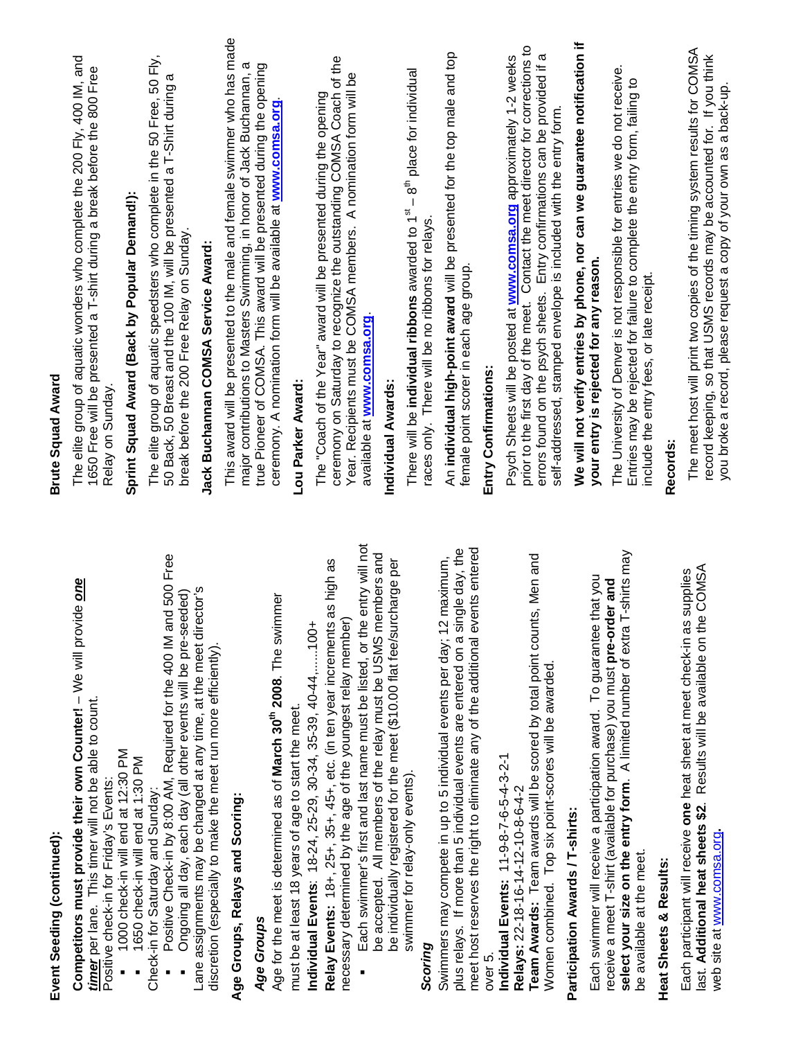| Ï      |  |
|--------|--|
| i      |  |
|        |  |
|        |  |
| l      |  |
|        |  |
|        |  |
| í<br>r |  |
|        |  |
| ׇ֘֝֬֝  |  |
|        |  |
|        |  |
|        |  |
|        |  |

**Competitors must provide their own Counter!** – We will provide *one*  Competitors must provide their own Counter! - We will provide one *timer* per lane. This timer will not be able to count. timer per lane. This timer will not be able to count. Positive check-in for Friday's Events: Positive check-in for Friday's Events:

- 1000 check-in will end at 12:30 PM 1000 check-in will end at 12:30 PM
	- 1650 check-in will end at 1:30 PM 1650 check-in will end at 1:30 PM

Check-in for Saturday and Sunday: Check-in for Saturday and Sunday:

 Positive Check-in by 8:00 AM, Required for the 400 IM and 500 Free Positive Check-in by 8:00 AM, Required for the 400 IM and 500 Free

Lane assignments may be changed at any time, at the meet director's Lane assignments may be changed at any time, at the meet director's Ongoing all day, each day (all other events will be pre-seeded) Ongoing all day, each day (all other events will be pre-seeded) discretion (especially to make the meet run more efficiently). discretion (especially to make the meet run more efficiently).

# **Age Groups, Relays and Scoring:**  Age Groups, Relays and Scoring:

# Age Groups *Age Groups*

Age for the meet is determined as of **March 30th 2008**. The swimmer Age for the meet is determined as of March 30<sup>th</sup> 2008. The swimmer must be at least 18 years of age to start the meet. must be at least 18 years of age to start the meet.

**Individual Events**: 18-24, 25-29, 30-34, 35-39, 40-44,......100+ Individual Events: 18-24, 25-29, 30-34, 35-39, 40-44, ......100+

**Relay Events:** 18+, 25+, 35+, 45+, etc. (in ten year increments as high as Relay Events: 18+, 25+, 35+, 45+, etc. (in ten year increments as high as necessary determined by the age of the youngest relay member) necessary determined by the age of the youngest relay member)

 Each swimmer's first and last name must be listed, or the entry will not Each swimmer's first and last name must be listed, or the entry will not be accepted. All members of the relay must be USMS members and be accepted. All members of the relay must be USMS members and be individually registered for the meet (\$10.00 flat fee/surcharge per be individually registered for the meet (\$10.00 flat fee/surcharge per swimmer for relay-only events). swimmer for relay-only events).

# *Scoring*

meet host reserves the right to eliminate any of the additional events entered plus relays. If more than 5 individual events are entered on a single day, the meet host reserves the right to eliminate any of the additional events entered plus relays. If more than 5 individual events are entered on a single day, the Swimmers may compete in up to 5 individual events per day; 12 maximum, Swimmers may compete in up to 5 individual events per day; 12 maximum, over 5.

**Individual Events:** 11-9-8-7-6-5-4-3-2-1 Individual Events: 11-9-8-7-6-5-4-3-2-1 Relays: 22-18-14-12-10-8-6-4-2

**Team Awards:** Team awards will be scored by total point counts, Men and Team Awards: Team awards will be scored by total point counts, Men and Women combined. Top six point-scores will be awarded. Women combined. Top six point-scores will be awarded **Relays:** 22-18-16-14-12-10-8-6-4-2

# **Participation Awards / T-shirts:**  Participation Awards / T-shirts:

**select your size on the entry form**. A limited number of extra T-shirts may select your size on the entry form. A limited number of extra T-shirts may Each swimmer will receive a participation award. To guarantee that you Each swimmer will receive a participation award. To guarantee that you receive a meet T-shirt (available for purchase) you must **pre-order and**  receive a meet T-shirt (available for purchase) you must pre-order and be available at the meet. be available at the meet

# **Heat Sheets & Results:**  Heat Sheets & Results:

last. **Additional heat sheets \$2**. Results will be available on the COMSA last. Additional heat sheets \$2. Results will be available on the COMSA Each participant will receive **one** heat sheet at meet check-in as supplies Each participant will receive one heat sheet at meet check-in as supplies web site at www.comsa.org**.**  web site at www.comsa.org

# **Brute Squad Award Brute Squad Award**

The elite group of aquatic wonders who complete the 200 Fly, 400 IM, and<br>1650 Free will be presented a T-shirt during a break before the 800 Free The elite group of aquatic wonders who complete the 200 Fly, 400 IM, and 1650 Free will be presented a T-shirt during a break before the 800 Free Relay on Sunday. Relay on Sunday.

# **Sprint Squad Award (Back by Popular Demand!):**  Sprint Squad Award (Back by Popular Demand!):

The elite group of aquatic speedsters who complete in the 50 Free, 50 Fly, The elite group of aquatic speedsters who complete in the 50 Free, 50 Fly, 50 Back, 50 Breast and the 100 IM, will be presented a T-Shirt during a 50 Back, 50 Breast and the 100 IM, will be presented a T-Shirt during a break before the 200 Free Relay on Sunday. break before the 200 Free Relay on Sunday.

# **Jack Buchannan COMSA Service Award:**  lack Buchannan COMSA Service Award:

This award will be presented to the male and female swimmer who has made This award will be presented to the male and female swimmer who has made major contributions to Masters Swimming, in honor of Jack Buchannan, a major contributions to Masters Swimming, in honor of Jack Buchannan, a true Pioneer of COMSA. This award will be presented during the opening true Pioneer of COMSA. This award will be presented during the opening ceremony. A nomination form will be available at **www.comsa.org**. ceremony. A nomination form will be available at www.comsa.org.

# **Lou Parker Award:**  -ou Parker Award:

ceremony on Saturday to recognize the outstanding COMSA Coach of the ceremony on Saturday to recognize the outstanding COMSA Coach of the Year. Recipients must be COMSA members. A nomination form will be Year. Recipients must be COMSA members. A nomination form will be The "Coach of the Year" award will be presented during the opening The "Coach of the Year" award will be presented during the opening available at **www.comsa.org**. available at www.comsa.org

# **Individual Awards:**  ndividual Awards:

There will be **individual ribbons** awarded to 1<sup>st</sup> – 8<sup>th</sup> place for individual There will be individual ribbons awarded to  $1^{\text{st}} - 8^{\text{th}}$  place for individual races only. There will be no ribbons for relays. races only. There will be no ribbons for relays.

An **individual high-point award** will be presented for the top male and top An individual high-point award will be presented for the top male and top female point scorer in each age group. female point scorer in each age group.

# Entry Confirmations: **Entry Confirmations:**

prior to the first day of the meet. Contact the meet director for corrections to prior to the first day of the meet. Contact the meet director for corrections to errors found on the psych sheets. Entry confirmations can be provided if a errors found on the psych sheets. Entry confirmations can be provided if a Psych Sheets will be posted at www.comsa.org approximately 1-2 weeks Psych Sheets will be posted at **www.comsa.org** approximately 1-2 weeks self-addressed, stamped envelope is included with the entry form. self-addressed, stamped envelope is included with the entry form.

# **We will not verify entries by phone, nor can we guarantee notification if**  We will not verify entries by phone, nor can we guarantee notification if **your entry is rejected for any reason.**  your entry is rejected for any reason.

The University of Denver is not responsible for entries we do not receive. The University of Denver is not responsible for entries we do not receive. Entries may be rejected for failure to complete the entry form, failing to Entries may be rejected for failure to complete the entry form, failing to include the entry fees, or late receipt. include the entry fees, or late receipt.

# **Records:**  Records:

The meet host will print two copies of the timing system results for COMSA The meet host will print two copies of the timing system results for COMSA<br>record keeping, so that USMS records may be accounted for. If you think record keeping, so that USMS records may be accounted for. If you think you broke a record, please request a copy of your own as a back-up. you broke a record, please request a copy of your own as a back-up.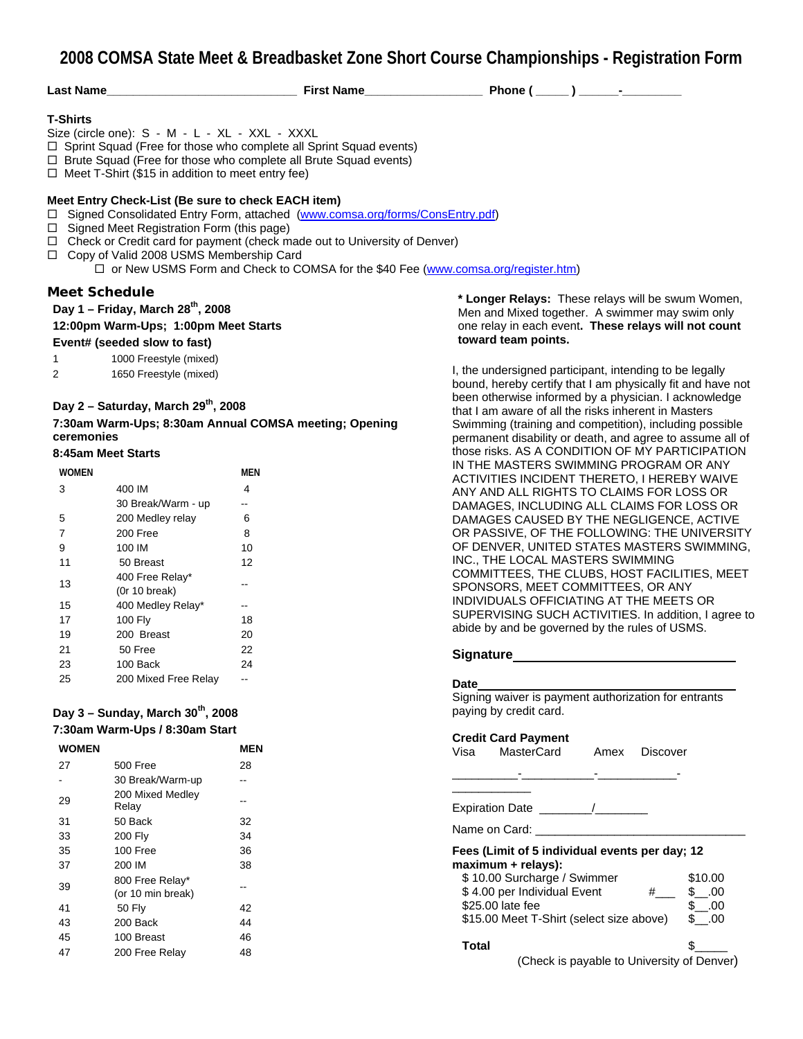**2008 COMSA State Meet & Breadbasket Zone Short Course Championships - Registration Form**

| <b>Last Name</b> |  |  |
|------------------|--|--|
|                  |  |  |

#### **T-Shirts**

Size (circle one): S - M - L - XL - XXL - XXXL

 $\Box$  Sprint Squad (Free for those who complete all Sprint Squad events)

 $\Box$  Brute Squad (Free for those who complete all Brute Squad events)

 $\Box$  Meet T-Shirt (\$15 in addition to meet entry fee)

#### **Meet Entry Check-List (Be sure to check EACH item)**

□ Signed Consolidated Entry Form, attached (www.comsa.org/forms/ConsEntry.pdf)

- $\Box$  Signed Meet Registration Form (this page)
- $\Box$  Check or Credit card for payment (check made out to University of Denver)
- Copy of Valid 2008 USMS Membership Card

 $\Box$  or New USMS Form and Check to COMSA for the \$40 Fee (www.comsa.org/register.htm)

#### **Meet Schedule**

#### Day 1 – Friday, March 28<sup>th</sup>, 2008

**12:00pm Warm-Ups; 1:00pm Meet Starts** 

#### **Event# (seeded slow to fast)**

1 1000 Freestyle (mixed)

2 1650 Freestyle (mixed)

#### **Day 2 – Saturday, March 29th, 2008**

**7:30am Warm-Ups; 8:30am Annual COMSA meeting; Opening ceremonies** 

#### **8:45am Meet Starts**

| <b>WOMEN</b>   |                                  | MEN |
|----------------|----------------------------------|-----|
| 3              | 400 IM                           | 4   |
|                | 30 Break/Warm - up               |     |
| 5              | 200 Medley relay                 | 6   |
| $\overline{7}$ | 200 Free                         | 8   |
| 9              | 100 IM                           | 10  |
| 11             | 50 Breast                        | 12  |
| 13             | 400 Free Relay*<br>(Or 10 break) |     |
| 15             | 400 Medley Relay*                | --  |
| 17             | 100 Fly                          | 18  |
| 19             | 200 Breast                       | 20  |
| 21             | 50 Free                          | 22  |
| 23             | 100 Back                         | 24  |
| 25             | 200 Mixed Free Relay             |     |

#### **Day 3 – Sunday, March 30th, 2008 7:30am Warm-Ups / 8:30am Start**

| <b>WOMEN</b> |                                      | <b>MEN</b> |
|--------------|--------------------------------------|------------|
| 27           | 500 Free                             | 28         |
|              | 30 Break/Warm-up                     |            |
| 29           | 200 Mixed Medley<br>Relay            |            |
| 31           | 50 Back                              | 32         |
| 33           | <b>200 Fly</b>                       | 34         |
| 35           | 100 Free                             | 36         |
| 37           | 200 IM                               | 38         |
| 39           | 800 Free Relay*<br>(or 10 min break) |            |
| 41           | 50 Fly                               | 42         |
| 43           | 200 Back                             | 44         |
| 45           | 100 Breast                           | 46         |
| 47           | 200 Free Relay                       | 48         |

**\* Longer Relays:** These relays will be swum Women, Men and Mixed together. A swimmer may swim only one relay in each event**. These relays will not count toward team points.** 

I, the undersigned participant, intending to be legally bound, hereby certify that I am physically fit and have not been otherwise informed by a physician. I acknowledge that I am aware of all the risks inherent in Masters Swimming (training and competition), including possible permanent disability or death, and agree to assume all of those risks. AS A CONDITION OF MY PARTICIPATION IN THE MASTERS SWIMMING PROGRAM OR ANY ACTIVITIES INCIDENT THERETO, I HEREBY WAIVE ANY AND ALL RIGHTS TO CLAIMS FOR LOSS OR DAMAGES, INCLUDING ALL CLAIMS FOR LOSS OR DAMAGES CAUSED BY THE NEGLIGENCE, ACTIVE OR PASSIVE, OF THE FOLLOWING: THE UNIVERSITY OF DENVER, UNITED STATES MASTERS SWIMMING, INC., THE LOCAL MASTERS SWIMMING COMMITTEES, THE CLUBS, HOST FACILITIES, MEET SPONSORS, MEET COMMITTEES, OR ANY INDIVIDUALS OFFICIATING AT THE MEETS OR SUPERVISING SUCH ACTIVITIES. In addition, I agree to abide by and be governed by the rules of USMS.

#### **Signature**

#### **Date**

Signing waiver is payment authorization for entrants paying by credit card.

\_\_\_\_\_\_\_\_\_\_-\_\_\_\_\_\_\_\_\_\_\_-\_\_\_\_\_\_\_\_\_\_\_\_-

#### **Credit Card Payment**

| Visa | MasterCard | Amex | <b>Discover</b> |
|------|------------|------|-----------------|
|      |            |      |                 |

Expiration Date \_\_\_\_\_\_\_\_/\_\_\_\_\_\_\_\_

Name on Card: \_

\_\_\_\_\_\_\_\_\_\_\_\_

#### **Fees (Limit of 5 individual events per day; 12 maximum + relays):**

| Total                                                                                                                           |                     |
|---------------------------------------------------------------------------------------------------------------------------------|---------------------|
| \$10.00 Surcharge / Swimmer<br>\$4.00 per Individual Event<br>#<br>\$25,00 late fee<br>\$15.00 Meet T-Shirt (select size above) | .00<br>.00<br>\$.00 |
|                                                                                                                                 | \$10.00             |

(Check is payable to University of Denver)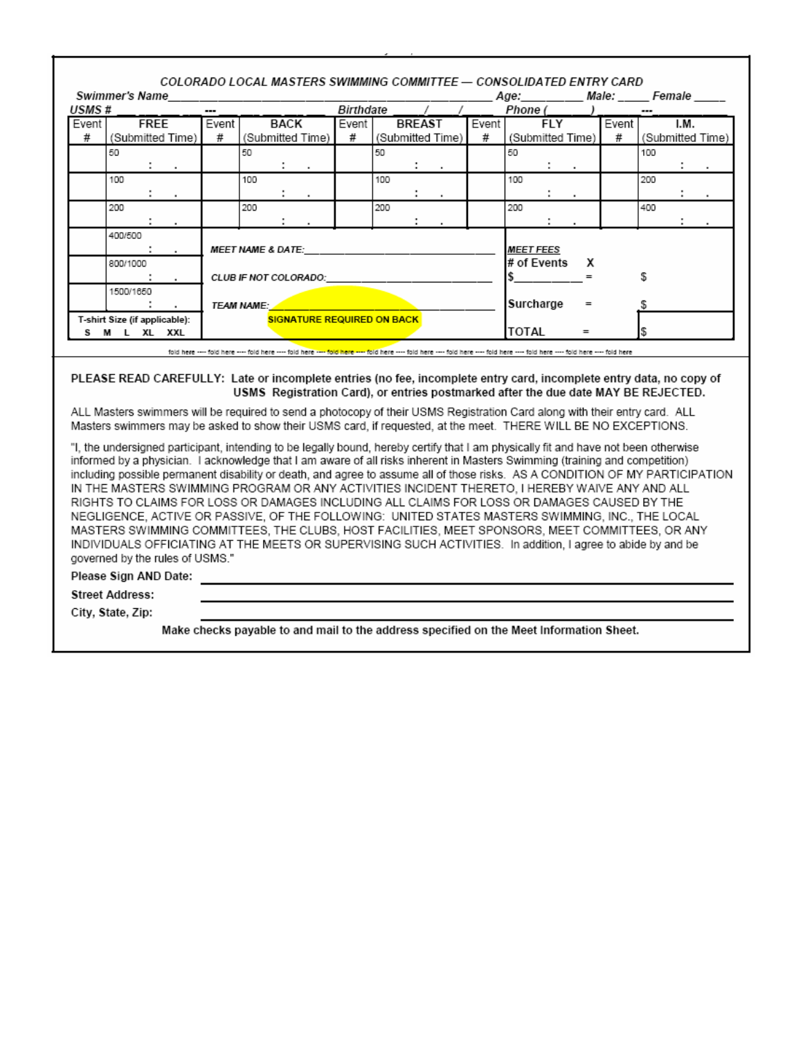|                                                                        | <b>Swimmer's Name</b>                         |                             |                  |       |     |                      |                  |                                   |           |                      |                  |         |                  |                             |        | COLORADO LOCAL MASTERS SWIMMING COMMITTEE — CONSOLIDATED ENTRY CARD<br>Age: Male: Female |     |              |                  |
|------------------------------------------------------------------------|-----------------------------------------------|-----------------------------|------------------|-------|-----|----------------------|------------------|-----------------------------------|-----------|----------------------|------------------|---------|------------------|-----------------------------|--------|------------------------------------------------------------------------------------------|-----|--------------|------------------|
| USMS #                                                                 |                                               |                             |                  | ---   |     |                      |                  | Birthdate / /                     |           |                      |                  |         |                  |                             |        | $Phone( )$ $)$                                                                           |     |              |                  |
| Event I                                                                |                                               | <b>FREE</b>                 |                  | Event |     | BACK                 |                  | Event                             |           | <b>BREAST</b>        |                  | Event I |                  | FLY                         |        | Event                                                                                    |     | I.M.         |                  |
| #                                                                      |                                               |                             | (Submitted Time) | #     |     |                      | (Submitted Time) | #                                 |           |                      | (Submitted Time) | #       | (Submitted Time) |                             |        | #                                                                                        |     |              | (Submitted Time) |
|                                                                        | 50                                            |                             |                  |       | 50  |                      |                  |                                   | 50        |                      |                  |         | 50               |                             |        |                                                                                          | 100 |              |                  |
|                                                                        |                                               | $\mathcal{L} = \mathcal{L}$ |                  |       |     | $\ddot{\phantom{0}}$ | $\sim$           |                                   |           | $\mathbf{1}$         |                  |         |                  | $\mathcal{L} = \mathcal{L}$ |        |                                                                                          |     | ÷            | $\sim$           |
|                                                                        | 100                                           |                             |                  |       | 100 |                      |                  |                                   | 100       |                      |                  |         | 100              |                             |        |                                                                                          | 200 |              |                  |
|                                                                        |                                               | $\mathcal{L} = \mathcal{L}$ |                  |       |     | $\mathbf{1}$         |                  |                                   |           | $\ddot{\phantom{0}}$ |                  |         |                  | ÷                           | $\sim$ |                                                                                          |     | ÷            |                  |
|                                                                        | 200                                           |                             |                  |       | 200 |                      |                  |                                   | 200       |                      |                  |         | 200              |                             |        |                                                                                          | 400 |              |                  |
|                                                                        |                                               |                             | $\sim$           |       |     | ÷                    |                  |                                   |           | $\mathbf{1}$         |                  |         |                  |                             |        |                                                                                          |     | $\mathbf{L}$ |                  |
| 400/500<br><b>MEET NAME &amp; DATE:</b><br>$\mathcal{L} = \mathcal{L}$ |                                               |                             |                  |       |     |                      |                  | <b>MEET FEES</b>                  |           |                      |                  |         |                  |                             |        |                                                                                          |     |              |                  |
|                                                                        | 800/1000                                      |                             |                  |       |     |                      |                  |                                   |           |                      |                  |         | #ofEvents X      |                             |        |                                                                                          |     |              |                  |
|                                                                        | CLUB IF NOT COLORADO:<br>$\sim$               |                             |                  |       |     |                      |                  |                                   |           |                      |                  |         |                  | S                           |        |                                                                                          |     |              |                  |
|                                                                        | 1500/1650                                     |                             |                  |       |     |                      |                  |                                   |           |                      |                  |         |                  |                             |        |                                                                                          |     |              |                  |
| ÷.<br><b>TEAM NAME:</b><br>$\cdot$                                     |                                               |                             |                  |       |     |                      |                  |                                   | Surcharge |                      | $=$              |         |                  |                             |        |                                                                                          |     |              |                  |
|                                                                        | T-shirt Size (if applicable):<br>S M L XL XXL |                             |                  |       |     |                      |                  | <b>SIGNATURE REQUIRED ON BACK</b> |           |                      |                  |         | TOTAL            |                             | $=$    |                                                                                          |     |              |                  |

fold here ---- fold here ---- fold here ---- fold here ---- fold here ---- fold here ---- fold here ---- fold here ---- fold here ---- fold here ---- fold here ---- fold here ---- fold here ---- fold here

#### PLEASE READ CAREFULLY: Late or incomplete entries (no fee, incomplete entry card, incomplete entry data, no copy of USMS Registration Card), or entries postmarked after the due date MAY BE REJECTED.

ALL Masters swimmers will be required to send a photocopy of their USMS Registration Card along with their entry card. ALL Masters swimmers may be asked to show their USMS card, if requested, at the meet. THERE WILL BE NO EXCEPTIONS.

"I, the undersigned participant, intending to be legally bound, hereby certify that I am physically fit and have not been otherwise informed by a physician. I acknowledge that I am aware of all risks inherent in Masters Swimming (training and competition) including possible permanent disability or death, and agree to assume all of those risks. AS A CONDITION OF MY PARTICIPATION IN THE MASTERS SWIMMING PROGRAM OR ANY ACTIVITIES INCIDENT THERETO, I HEREBY WAIVE ANY AND ALL RIGHTS TO CLAIMS FOR LOSS OR DAMAGES INCLUDING ALL CLAIMS FOR LOSS OR DAMAGES CAUSED BY THE NEGLIGENCE, ACTIVE OR PASSIVE, OF THE FOLLOWING: UNITED STATES MASTERS SWIMMING, INC., THE LOCAL MASTERS SWIMMING COMMITTEES, THE CLUBS, HOST FACILITIES, MEET SPONSORS, MEET COMMITTEES, OR ANY INDIVIDUALS OFFICIATING AT THE MEETS OR SUPERVISING SUCH ACTIVITIES. In addition, I agree to abide by and be governed by the rules of USMS."

Please Sign AND Date:

**Street Address:** 

City, State, Zip:

Make checks payable to and mail to the address specified on the Meet Information Sheet.